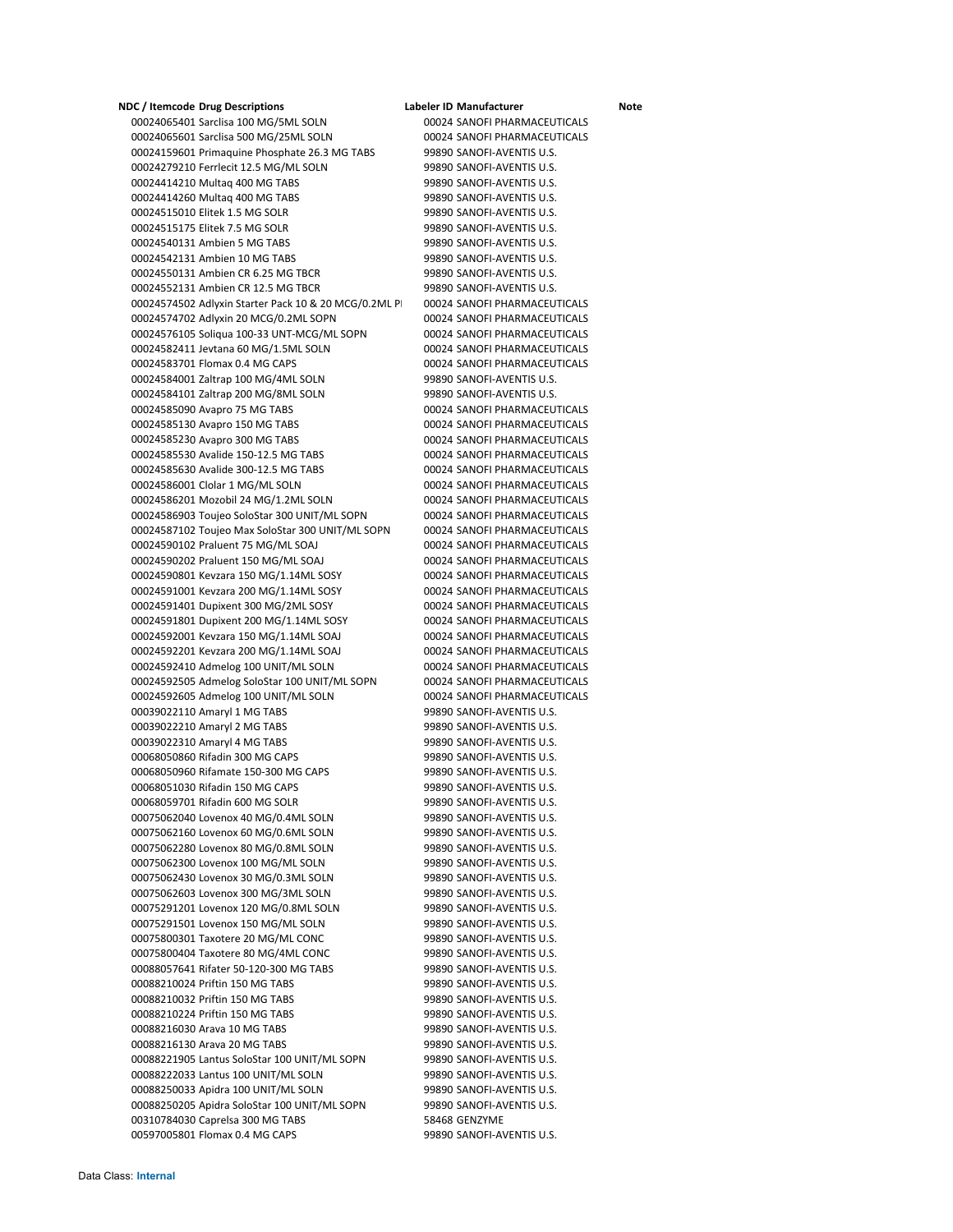**NDC / Itemcode Drug Descriptions Labeler ID Manufacturer Note** Sarclisa 100 MG/5ML SOLN 00024 SANOFI PHARMACEUTICALS Sarclisa 500 MG/25ML SOLN 00024 SANOFI PHARMACEUTICALS 00024159601 Primaquine Phosphate 26.3 MG TABS 99890 SANOFI-AVENTIS U.S. Ferrlecit 12.5 MG/ML SOLN 99890 SANOFI‐AVENTIS U.S. Multaq 400 MG TABS 99890 SANOFI‐AVENTIS U.S. Multaq 400 MG TABS 99890 SANOFI‐AVENTIS U.S. Elitek 1.5 MG SOLR 99890 SANOFI‐AVENTIS U.S. Elitek 7.5 MG SOLR 99890 SANOFI‐AVENTIS U.S. Ambien 5 MG TABS 99890 SANOFI‐AVENTIS U.S. Ambien 10 MG TABS 99890 SANOFI‐AVENTIS U.S. Ambien CR 6.25 MG TBCR 99890 SANOFI‐AVENTIS U.S. Ambien CR 12.5 MG TBCR 99890 SANOFI‐AVENTIS U.S. 00024574502 Adlyxin Starter Pack 10 & 20 MCG/0.2ML P| 00024 SANOFI PHARMACEUTICALS Adlyxin 20 MCG/0.2ML SOPN 00024 SANOFI PHARMACEUTICALS Soliqua 100‐33 UNT‐MCG/ML SOPN 00024 SANOFI PHARMACEUTICALS Jevtana 60 MG/1.5ML SOLN 00024 SANOFI PHARMACEUTICALS Flomax 0.4 MG CAPS 00024 SANOFI PHARMACEUTICALS Zaltrap 100 MG/4ML SOLN 99890 SANOFI‐AVENTIS U.S. Zaltrap 200 MG/8ML SOLN 99890 SANOFI‐AVENTIS U.S. Avapro 75 MG TABS 00024 SANOFI PHARMACEUTICALS Avapro 150 MG TABS 00024 SANOFI PHARMACEUTICALS Avapro 300 MG TABS 00024 SANOFI PHARMACEUTICALS Avalide 150‐12.5 MG TABS 00024 SANOFI PHARMACEUTICALS Avalide 300‐12.5 MG TABS 00024 SANOFI PHARMACEUTICALS Clolar 1 MG/ML SOLN 00024 SANOFI PHARMACEUTICALS Mozobil 24 MG/1.2ML SOLN 00024 SANOFI PHARMACEUTICALS Toujeo SoloStar 300 UNIT/ML SOPN 00024 SANOFI PHARMACEUTICALS Toujeo Max SoloStar 300 UNIT/ML SOPN 00024 SANOFI PHARMACEUTICALS Praluent 75 MG/ML SOAJ 00024 SANOFI PHARMACEUTICALS Praluent 150 MG/ML SOAJ 00024 SANOFI PHARMACEUTICALS Kevzara 150 MG/1.14ML SOSY 00024 SANOFI PHARMACEUTICALS Kevzara 200 MG/1.14ML SOSY 00024 SANOFI PHARMACEUTICALS Dupixent 300 MG/2ML SOSY 00024 SANOFI PHARMACEUTICALS Dupixent 200 MG/1.14ML SOSY 00024 SANOFI PHARMACEUTICALS Kevzara 150 MG/1.14ML SOAJ 00024 SANOFI PHARMACEUTICALS Kevzara 200 MG/1.14ML SOAJ 00024 SANOFI PHARMACEUTICALS Admelog 100 UNIT/ML SOLN 00024 SANOFI PHARMACEUTICALS Admelog SoloStar 100 UNIT/ML SOPN 00024 SANOFI PHARMACEUTICALS Admelog 100 UNIT/ML SOLN 00024 SANOFI PHARMACEUTICALS 00039022110 Amaryl 1 MG TABS 99890 SANOFI-AVENTIS U.S. 00039022210 Amaryl 2 MG TABS 99890 SANOFI-AVENTIS U.S. Amaryl 4 MG TABS 99890 SANOFI‐AVENTIS U.S. Rifadin 300 MG CAPS 99890 SANOFI‐AVENTIS U.S. Rifamate 150‐300 MG CAPS 99890 SANOFI‐AVENTIS U.S. Rifadin 150 MG CAPS 99890 SANOFI‐AVENTIS U.S. Rifadin 600 MG SOLR 99890 SANOFI‐AVENTIS U.S. Lovenox 40 MG/0.4ML SOLN 99890 SANOFI‐AVENTIS U.S. Lovenox 60 MG/0.6ML SOLN 99890 SANOFI‐AVENTIS U.S. Lovenox 80 MG/0.8ML SOLN 99890 SANOFI‐AVENTIS U.S. Lovenox 100 MG/ML SOLN 99890 SANOFI‐AVENTIS U.S. Lovenox 30 MG/0.3ML SOLN 99890 SANOFI‐AVENTIS U.S. Lovenox 300 MG/3ML SOLN 99890 SANOFI‐AVENTIS U.S. Lovenox 120 MG/0.8ML SOLN 99890 SANOFI‐AVENTIS U.S. Lovenox 150 MG/ML SOLN 99890 SANOFI‐AVENTIS U.S. Taxotere 20 MG/ML CONC 99890 SANOFI‐AVENTIS U.S. Taxotere 80 MG/4ML CONC 99890 SANOFI‐AVENTIS U.S. Rifater 50‐120‐300 MG TABS 99890 SANOFI‐AVENTIS U.S. Priftin 150 MG TABS 99890 SANOFI‐AVENTIS U.S. Priftin 150 MG TABS 99890 SANOFI‐AVENTIS U.S. Priftin 150 MG TABS 99890 SANOFI‐AVENTIS U.S. Arava 10 MG TABS 99890 SANOFI‐AVENTIS U.S. Arava 20 MG TABS 99890 SANOFI‐AVENTIS U.S. Lantus SoloStar 100 UNIT/ML SOPN 99890 SANOFI‐AVENTIS U.S. Lantus 100 UNIT/ML SOLN 99890 SANOFI‐AVENTIS U.S. 00088250033 Apidra 100 UNIT/ML SOLN 99890 SANOFI-AVENTIS U.S. Apidra SoloStar 100 UNIT/ML SOPN 99890 SANOFI‐AVENTIS U.S. 00310784030 Caprelsa 300 MG TABS 58468 GENZYME Flomax 0.4 MG CAPS 99890 SANOFI‐AVENTIS U.S.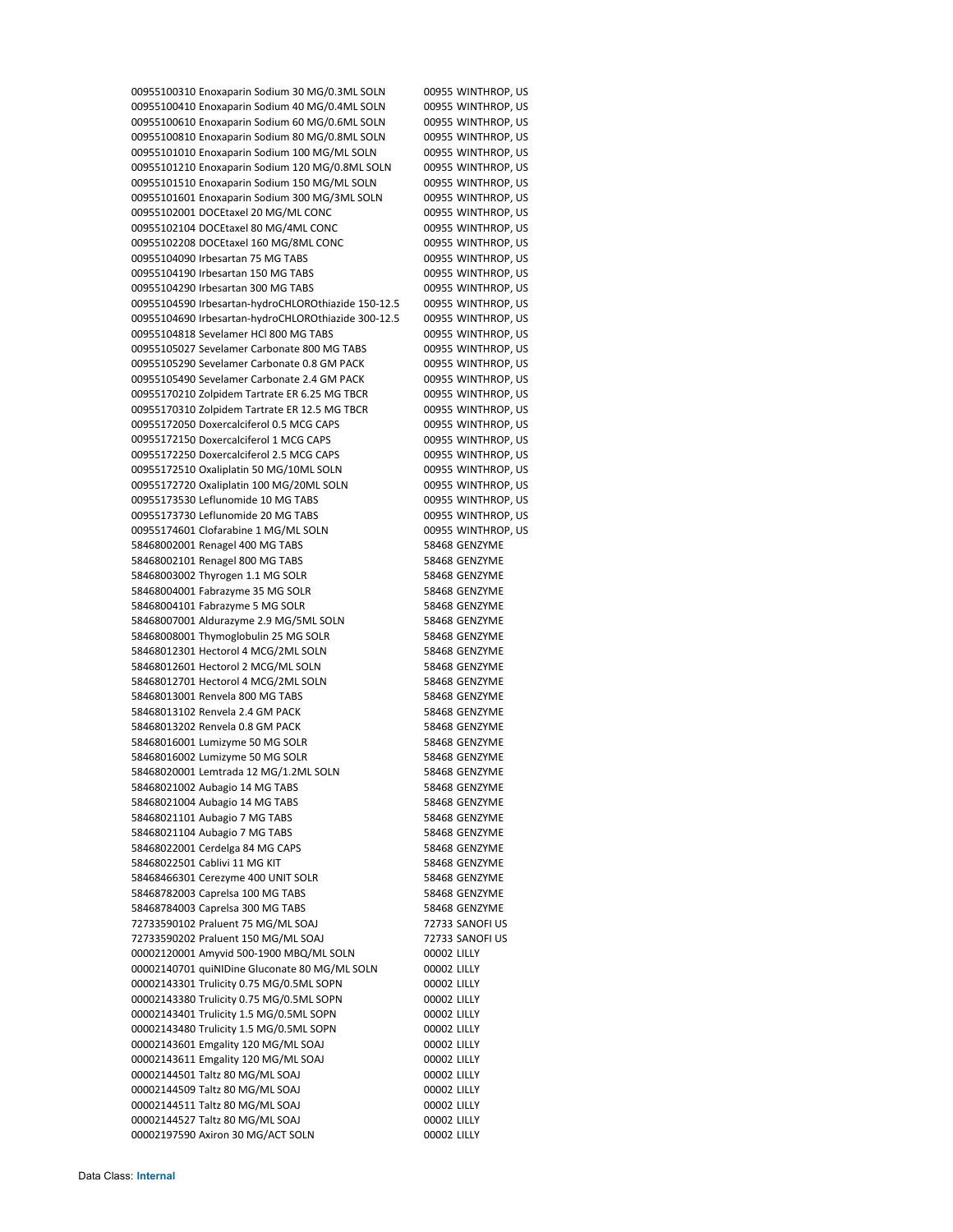Enoxaparin Sodium 30 MG/0.3ML SOLN 00955 WINTHROP, US Enoxaparin Sodium 40 MG/0.4ML SOLN 00955 WINTHROP, US 00955100610 Enoxaparin Sodium 60 MG/0.6ML SOLN 00955 WINTHROP, US Enoxaparin Sodium 80 MG/0.8ML SOLN 00955 WINTHROP, US Enoxaparin Sodium 100 MG/ML SOLN 00955 WINTHROP, US Enoxaparin Sodium 120 MG/0.8ML SOLN 00955 WINTHROP, US Enoxaparin Sodium 150 MG/ML SOLN 00955 WINTHROP, US Enoxaparin Sodium 300 MG/3ML SOLN 00955 WINTHROP, US 00955102001 DOCEtaxel 20 MG/ML CONC 00955 WINTHROP, US DOCEtaxel 80 MG/4ML CONC 00955 WINTHROP, US DOCEtaxel 160 MG/8ML CONC 00955 WINTHROP, US Irbesartan 75 MG TABS 00955 WINTHROP, US Irbesartan 150 MG TABS 00955 WINTHROP, US Irbesartan 300 MG TABS 00955 WINTHROP, US Irbesartan‐hydroCHLOROthiazide 150‐12.5 00955 WINTHROP, US Irbesartan‐hydroCHLOROthiazide 300‐12.5 00955 WINTHROP, US Sevelamer HCl 800 MG TABS 00955 WINTHROP, US Sevelamer Carbonate 800 MG TABS 00955 WINTHROP, US Sevelamer Carbonate 0.8 GM PACK 00955 WINTHROP, US 00955105490 Sevelamer Carbonate 2.4 GM PACK 00955 WINTHROP, US Zolpidem Tartrate ER 6.25 MG TBCR 00955 WINTHROP, US Zolpidem Tartrate ER 12.5 MG TBCR 00955 WINTHROP, US Doxercalciferol 0.5 MCG CAPS 00955 WINTHROP, US Doxercalciferol 1 MCG CAPS 00955 WINTHROP, US 00955172250 Doxercalciferol 2.5 MCG CAPS 00955 WINTHROP, US Oxaliplatin 50 MG/10ML SOLN 00955 WINTHROP, US Oxaliplatin 100 MG/20ML SOLN 00955 WINTHROP, US 00955173530 Leflunomide 10 MG TABS 00955 WINTHROP, US Leflunomide 20 MG TABS 00955 WINTHROP, US 00955174601 Clofarabine 1 MG/ML SOLN 00955 WINTHROP, US 58468002001 Renagel 400 MG TABS 58468 GENZYME 58468002101 Renagel 800 MG TABS 58468 GENZYME 58468003002 Thyrogen 1.1 MG SOLR 58468 GENZYME 58468004001 Fabrazyme 35 MG SOLR 58468 GENZYME 58468004101 Fabrazyme 5 MG SOLR 58468 GENZYME Aldurazyme 2.9 MG/5ML SOLN 58468 GENZYME 58468008001 Thymoglobulin 25 MG SOLR 58468 GENZYME 58468012301 Hectorol 4 MCG/2ML SOLN 58468 GENZYME Hectorol 2 MCG/ML SOLN 58468 GENZYME 58468012701 Hectorol 4 MCG/2ML SOLN 58468 GENZYME Renvela 800 MG TABS 58468 GENZYME 58468013102 Renvela 2.4 GM PACK 58468 GENZYME 58468013202 Renvela 0.8 GM PACK 58468 GENZYME Lumizyme 50 MG SOLR 58468 GENZYME Lumizyme 50 MG SOLR 58468 GENZYME Lemtrada 12 MG/1.2ML SOLN 58468 GENZYME 58468021002 Aubagio 14 MG TABS 58468 GENZYME 58468021004 Aubagio 14 MG TABS 58468 GENZYME 58468021101 Aubagio 7 MG TABS 58468 GENZYME 58468021104 Aubagio 7 MG TABS 58468 GENZYME 58468022001 Cerdelga 84 MG CAPS 58468 GENZYME 58468022501 Cablivi 11 MG KIT 58468 GENZYME Cerezyme 400 UNIT SOLR 58468 GENZYME Caprelsa 100 MG TABS 58468 GENZYME 58468784003 Caprelsa 300 MG TABS 58468 GENZYME Praluent 75 MG/ML SOAJ 72733 SANOFI US Praluent 150 MG/ML SOAJ 72733 SANOFI US Amyvid 500‐1900 MBQ/ML SOLN 00002 LILLY quiNIDine Gluconate 80 MG/ML SOLN 00002 LILLY Trulicity 0.75 MG/0.5ML SOPN 00002 LILLY Trulicity 0.75 MG/0.5ML SOPN 00002 LILLY Trulicity 1.5 MG/0.5ML SOPN 00002 LILLY Trulicity 1.5 MG/0.5ML SOPN 00002 LILLY Emgality 120 MG/ML SOAJ 00002 LILLY Emgality 120 MG/ML SOAJ 00002 LILLY Taltz 80 MG/ML SOAJ 00002 LILLY Taltz 80 MG/ML SOAJ 00002 LILLY Taltz 80 MG/ML SOAJ 00002 LILLY Taltz 80 MG/ML SOAJ 00002 LILLY 00002197590 Axiron 30 MG/ACT SOLN 00002 LILLY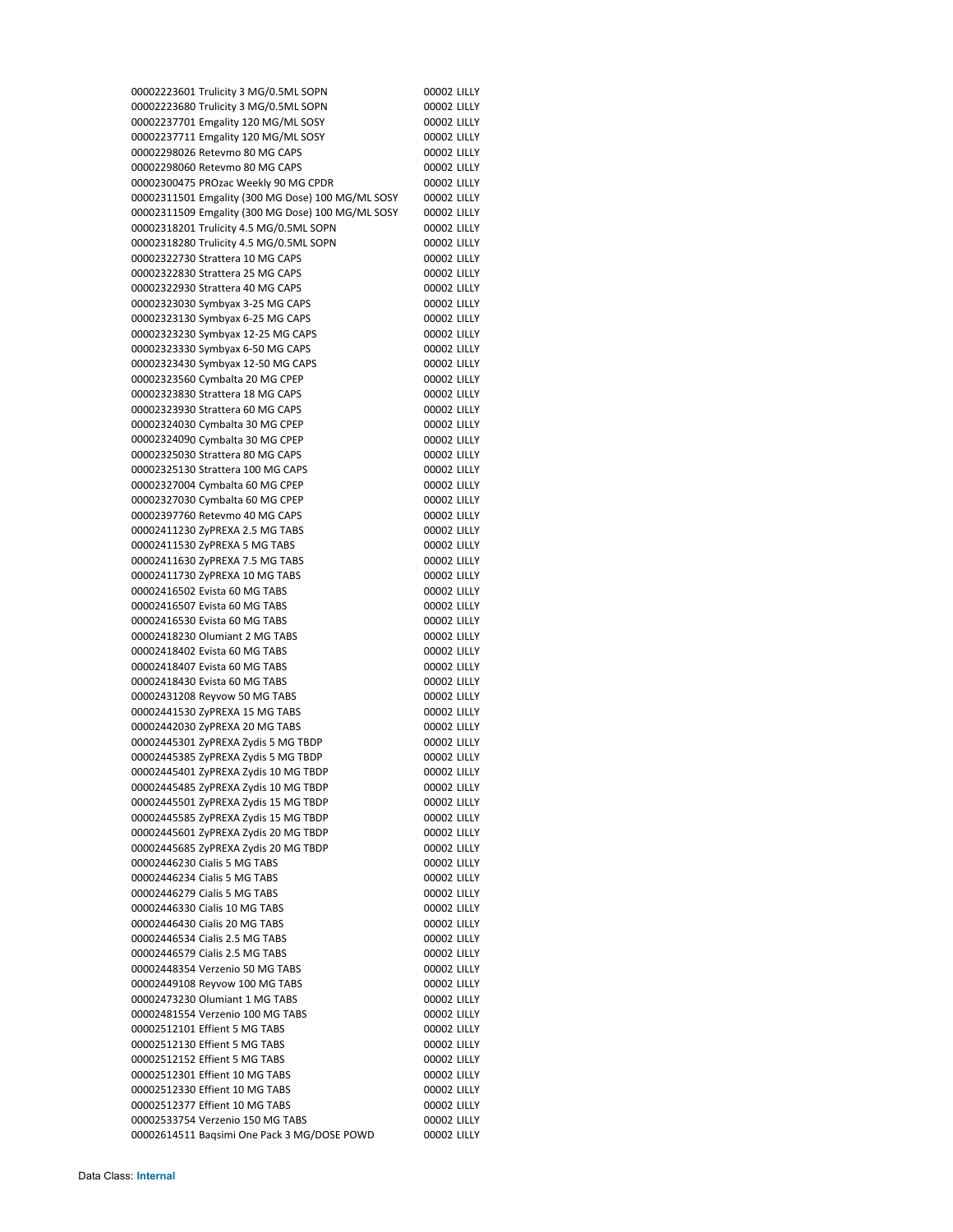Trulicity 3 MG/0.5ML SOPN 00002 LILLY Trulicity 3 MG/0.5ML SOPN 00002 LILLY Emgality 120 MG/ML SOSY 00002 LILLY Emgality 120 MG/ML SOSY 00002 LILLY 00002298026 Retevmo 80 MG CAPS 00002 LILLY 00002298060 Retevmo 80 MG CAPS 00002 LILLY 00002300475 PROzac Weekly 90 MG CPDR 00002 LILLY Emgality (300 MG Dose) 100 MG/ML SOSY 00002 LILLY Emgality (300 MG Dose) 100 MG/ML SOSY 00002 LILLY Trulicity 4.5 MG/0.5ML SOPN 00002 LILLY Trulicity 4.5 MG/0.5ML SOPN 00002 LILLY 00002322730 Strattera 10 MG CAPS 00002 LILLY Strattera 25 MG CAPS 00002 LILLY 00002322930 Strattera 40 MG CAPS 00002 LILLY 00002323030 Symbyax 3-25 MG CAPS 00002 LILLY 00002323130 Symbyax 6-25 MG CAPS 00002 LILLY 00002323230 Symbyax 12-25 MG CAPS 00002 LILLY 00002323330 Symbyax 6-50 MG CAPS 00002 LILLY 00002323430 Symbyax 12-50 MG CAPS 00002 LILLY 00002323560 Cymbalta 20 MG CPEP 00002 LILLY 00002323830 Strattera 18 MG CAPS 00002 LILLY 00002323930 Strattera 60 MG CAPS 00002 LILLY Cymbalta 30 MG CPEP 00002 LILLY 00002324090 Cymbalta 30 MG CPEP 00002 LILLY 00002325030 Strattera 80 MG CAPS 00002 LILLY 00002325130 Strattera 100 MG CAPS 00002 LILLY 00002327004 Cymbalta 60 MG CPEP 00002 LILLY 00002327030 Cymbalta 60 MG CPEP 00002 LILLY 00002397760 Retevmo 40 MG CAPS 00002 LILLY ZyPREXA 2.5 MG TABS 00002 LILLY ZyPREXA 5 MG TABS 00002 LILLY ZyPREXA 7.5 MG TABS 00002 LILLY 00002411730 ZyPREXA 10 MG TABS 00002 LILLY 00002416502 Evista 60 MG TABS 00002 LILLY Evista 60 MG TABS 00002 LILLY Evista 60 MG TABS 00002 LILLY Olumiant 2 MG TABS 00002 LILLY Evista 60 MG TABS 00002 LILLY 00002418407 Evista 60 MG TABS 00002 LILLY 00002418430 Evista 60 MG TABS 00002 LILLY Reyvow 50 MG TABS 00002 LILLY 00002441530 ZyPREXA 15 MG TABS 00002 LILLY ZyPREXA 20 MG TABS 00002 LILLY ZyPREXA Zydis 5 MG TBDP 00002 LILLY ZyPREXA Zydis 5 MG TBDP 00002 LILLY ZyPREXA Zydis 10 MG TBDP 00002 LILLY ZyPREXA Zydis 10 MG TBDP 00002 LILLY ZyPREXA Zydis 15 MG TBDP 00002 LILLY ZyPREXA Zydis 15 MG TBDP 00002 LILLY ZyPREXA Zydis 20 MG TBDP 00002 LILLY ZyPREXA Zydis 20 MG TBDP 00002 LILLY Cialis 5 MG TABS 00002 LILLY Cialis 5 MG TABS 00002 LILLY Cialis 5 MG TABS 00002 LILLY Cialis 10 MG TABS 00002 LILLY Cialis 20 MG TABS 00002 LILLY Cialis 2.5 MG TABS 00002 LILLY Cialis 2.5 MG TABS 00002 LILLY Verzenio 50 MG TABS 00002 LILLY 00002449108 Reyvow 100 MG TABS 00002 LILLY Olumiant 1 MG TABS 00002 LILLY Verzenio 100 MG TABS 00002 LILLY Effient 5 MG TABS 00002 LILLY Effient 5 MG TABS 00002 LILLY Effient 5 MG TABS 00002 LILLY Effient 10 MG TABS 00002 LILLY 00002512330 Effient 10 MG TABS 00002 LILLY Effient 10 MG TABS 00002 LILLY Verzenio 150 MG TABS 00002 LILLY Baqsimi One Pack 3 MG/DOSE POWD 00002 LILLY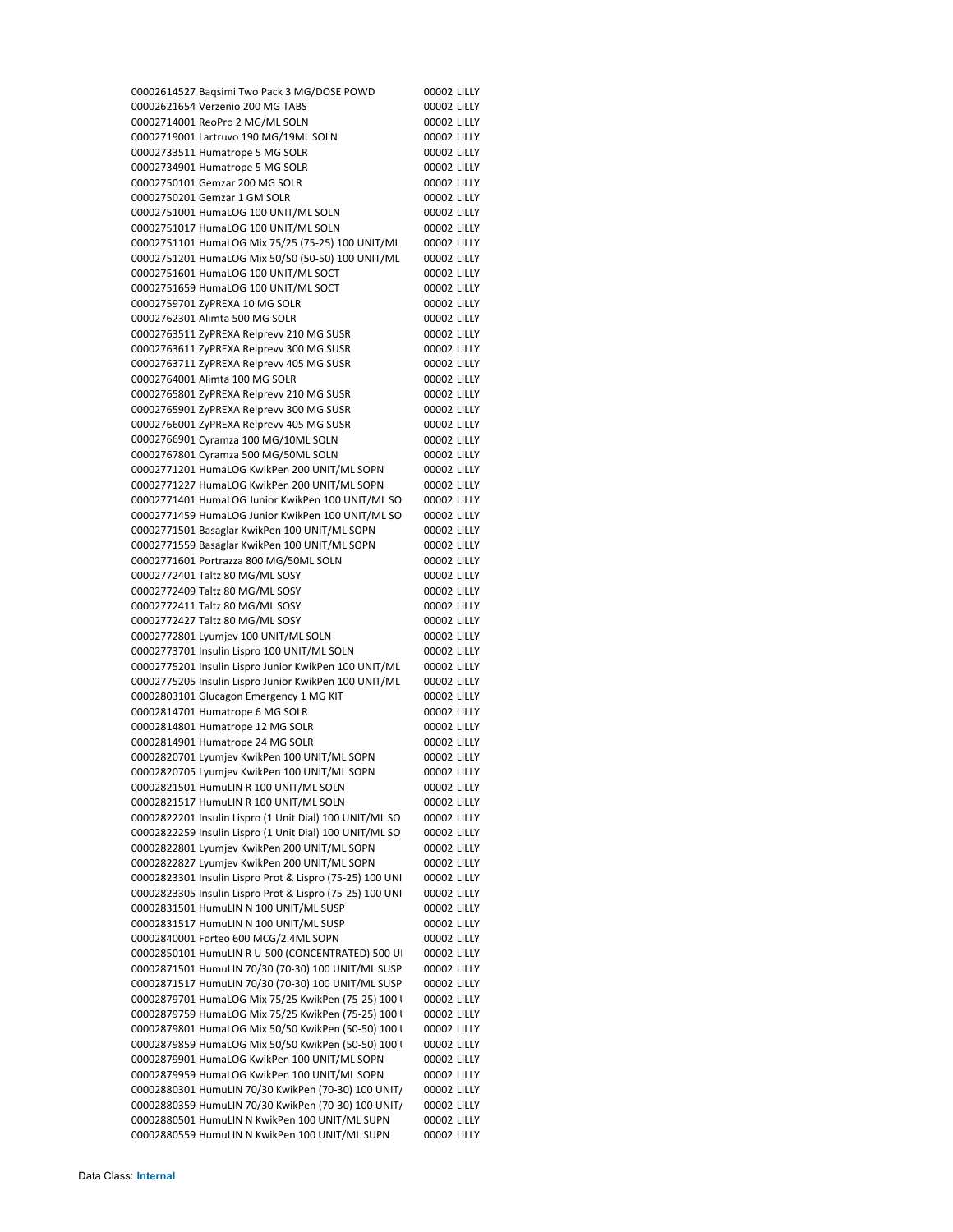Baqsimi Two Pack 3 MG/DOSE POWD 00002 LILLY Verzenio 200 MG TABS 00002 LILLY 00002714001 ReoPro 2 MG/ML SOLN 00002 LILLY Lartruvo 190 MG/19ML SOLN 00002 LILLY 00002733511 Humatrope 5 MG SOLR 00002 LILLY 00002734901 Humatrope 5 MG SOLR 00002 LILLY 00002750101 Gemzar 200 MG SOLR 00002 LILLY 00002750201 Gemzar 1 GM SOLR 00002 LILLY HumaLOG 100 UNIT/ML SOLN 00002 LILLY HumaLOG 100 UNIT/ML SOLN 00002 LILLY HumaLOG Mix 75/25 (75‐25) 100 UNIT/ML 00002 LILLY HumaLOG Mix 50/50 (50‐50) 100 UNIT/ML 00002 LILLY HumaLOG 100 UNIT/ML SOCT 00002 LILLY HumaLOG 100 UNIT/ML SOCT 00002 LILLY ZyPREXA 10 MG SOLR 00002 LILLY 00002762301 Alimta 500 MG SOLR 00002 LILLY ZyPREXA Relprevv 210 MG SUSR 00002 LILLY ZyPREXA Relprevv 300 MG SUSR 00002 LILLY ZyPREXA Relprevv 405 MG SUSR 00002 LILLY 00002764001 Alimta 100 MG SOLR 00002 LILLY ZyPREXA Relprevv 210 MG SUSR 00002 LILLY ZyPREXA Relprevv 300 MG SUSR 00002 LILLY ZyPREXA Relprevv 405 MG SUSR 00002 LILLY Cyramza 100 MG/10ML SOLN 00002 LILLY Cyramza 500 MG/50ML SOLN 00002 LILLY HumaLOG KwikPen 200 UNIT/ML SOPN 00002 LILLY HumaLOG KwikPen 200 UNIT/ML SOPN 00002 LILLY HumaLOG Junior KwikPen 100 UNIT/ML SO 00002 LILLY HumaLOG Junior KwikPen 100 UNIT/ML SO 00002 LILLY Basaglar KwikPen 100 UNIT/ML SOPN 00002 LILLY Basaglar KwikPen 100 UNIT/ML SOPN 00002 LILLY Portrazza 800 MG/50ML SOLN 00002 LILLY Taltz 80 MG/ML SOSY 00002 LILLY Taltz 80 MG/ML SOSY 00002 LILLY Taltz 80 MG/ML SOSY 00002 LILLY Taltz 80 MG/ML SOSY 00002 LILLY Lyumjev 100 UNIT/ML SOLN 00002 LILLY Insulin Lispro 100 UNIT/ML SOLN 00002 LILLY Insulin Lispro Junior KwikPen 100 UNIT/ML 00002 LILLY Insulin Lispro Junior KwikPen 100 UNIT/ML 00002 LILLY Glucagon Emergency 1 MG KIT 00002 LILLY 00002814701 Humatrope 6 MG SOLR 00002 LILLY 00002814801 Humatrope 12 MG SOLR 00002 LILLY 00002814901 Humatrope 24 MG SOLR 00002 LILLY Lyumjev KwikPen 100 UNIT/ML SOPN 00002 LILLY Lyumjev KwikPen 100 UNIT/ML SOPN 00002 LILLY HumuLIN R 100 UNIT/ML SOLN 00002 LILLY 00002821517 HumuLIN R 100 UNIT/ML SOLN 00002 LILLY Insulin Lispro (1 Unit Dial) 100 UNIT/ML SO 00002 LILLY Insulin Lispro (1 Unit Dial) 100 UNIT/ML SO 00002 LILLY Lyumjev KwikPen 200 UNIT/ML SOPN 00002 LILLY Lyumjev KwikPen 200 UNIT/ML SOPN 00002 LILLY Insulin Lispro Prot & Lispro (75‐25) 100 UNI 00002 LILLY Insulin Lispro Prot & Lispro (75‐25) 100 UNI 00002 LILLY HumuLIN N 100 UNIT/ML SUSP 00002 LILLY HumuLIN N 100 UNIT/ML SUSP 00002 LILLY 00002840001 Forteo 600 MCG/2.4ML SOPN 00002 LILLY 00002850101 HumuLIN R U-500 (CONCENTRATED) 500 U 00002 LILLY HumuLIN 70/30 (70‐30) 100 UNIT/ML SUSP 00002 LILLY HumuLIN 70/30 (70‐30) 100 UNIT/ML SUSP 00002 LILLY 00002879701 HumaLOG Mix 75/25 KwikPen (75-25) 100 | 00002 LILLY 00002879759 HumaLOG Mix 75/25 KwikPen (75-25) 100 | 00002 LILLY 00002879801 HumaLOG Mix 50/50 KwikPen (50-50) 100 | 00002 LILLY 00002879859 HumaLOG Mix 50/50 KwikPen (50-50) 100 | 00002 LILLY HumaLOG KwikPen 100 UNIT/ML SOPN 00002 LILLY HumaLOG KwikPen 100 UNIT/ML SOPN 00002 LILLY HumuLIN 70/30 KwikPen (70‐30) 100 UNIT/ 00002 LILLY HumuLIN 70/30 KwikPen (70‐30) 100 UNIT/ 00002 LILLY HumuLIN N KwikPen 100 UNIT/ML SUPN 00002 LILLY HumuLIN N KwikPen 100 UNIT/ML SUPN 00002 LILLY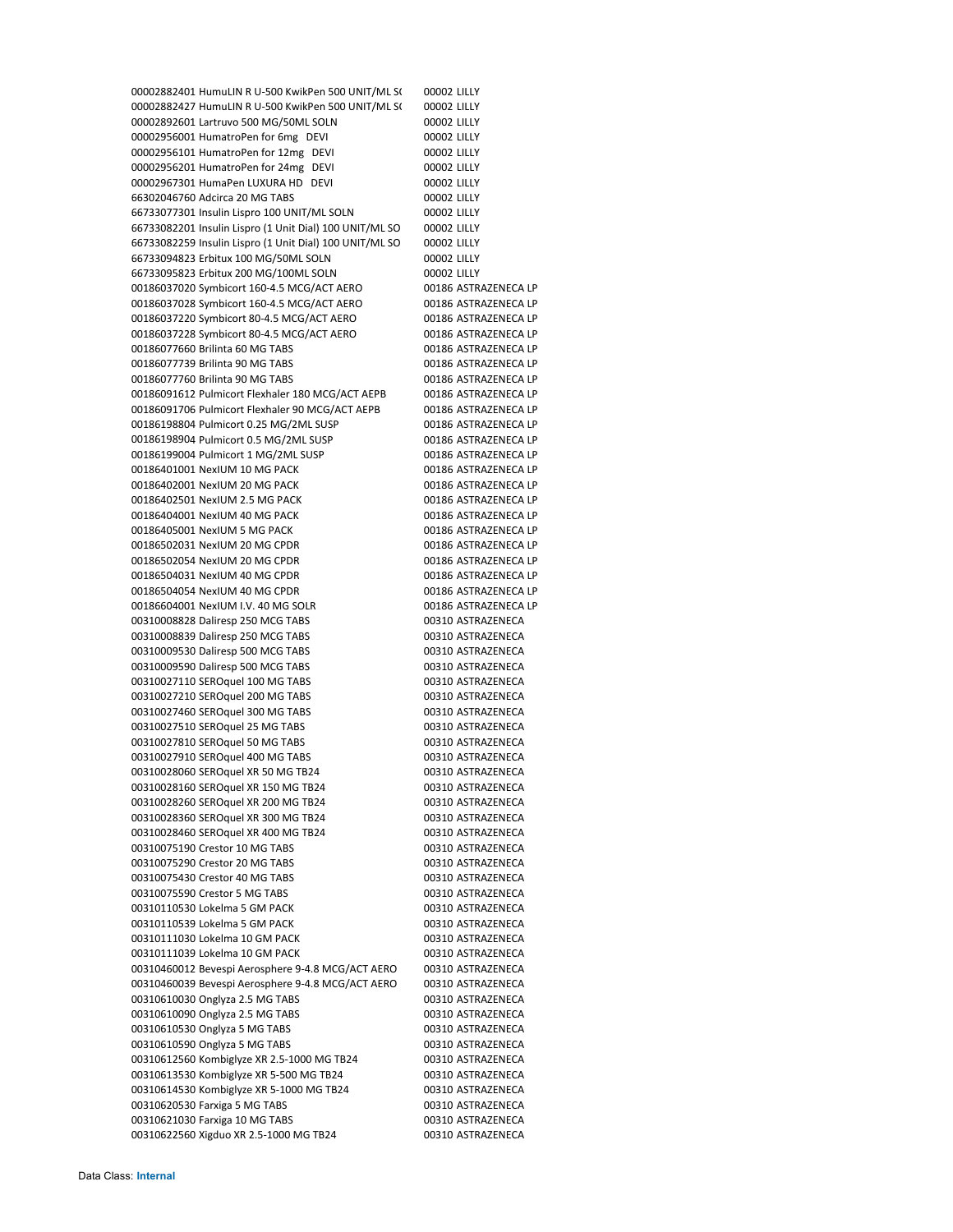00002882401 HumuLIN R U-500 KwikPen 500 UNIT/ML S( 00002 LILLY 00002882427 HumuLIN R U-500 KwikPen 500 UNIT/ML S( 00002 LILLY 00002892601 Lartruvo 500 MG/50ML SOLN 00002 LILLY 00002956001 HumatroPen for 6mg DEVI 00002 LILLY 00002956101 HumatroPen for 12mg DEVI 00002 LILLY 00002956201 HumatroPen for 24mg DEVI 00002 LILLY 00002967301 HumaPen LUXURA HD DEVI 00002 LILLY 66302046760 Adcirca 20 MG TABS 00002 LILLY 66733077301 Insulin Lispro 100 UNIT/ML SOLN 00002 LILLY 66733082201 Insulin Lispro (1 Unit Dial) 100 UNIT/ML SO 00002 LILLY 66733082259 Insulin Lispro (1 Unit Dial) 100 UNIT/ML SO 00002 LILLY 66733094823 Erbitux 100 MG/50ML SOLN 00002 LILLY 66733095823 Erbitux 200 MG/100ML SOLN 00002 LILLY 00186037020 Symbicort 160‐4.5 MCG/ACT AERO 00186 ASTRAZENECA LP 00186037028 Symbicort 160‐4.5 MCG/ACT AERO 00186 ASTRAZENECA LP 00186037220 Symbicort 80‐4.5 MCG/ACT AERO 00186 ASTRAZENECA LP 00186037228 Symbicort 80‐4.5 MCG/ACT AERO 00186 ASTRAZENECA LP 00186077660 Brilinta 60 MG TABS 00186 ASTRAZENECA LP 00186077739 Brilinta 90 MG TABS 00186 ASTRAZENECA LP 00186077760 Brilinta 90 MG TABS 00186 ASTRAZENECA LP 00186091612 Pulmicort Flexhaler 180 MCG/ACT AEPB 00186 ASTRAZENECA LP 00186091706 Pulmicort Flexhaler 90 MCG/ACT AEPB 00186 ASTRAZENECA LP 00186198804 Pulmicort 0.25 MG/2ML SUSP 00186 ASTRAZENECA LP 00186198904 Pulmicort 0.5 MG/2ML SUSP 00186 ASTRAZENECA LP 00186199004 Pulmicort 1 MG/2ML SUSP 00186 ASTRAZENECA LP 00186401001 NexIUM 10 MG PACK 00186 ASTRAZENECA LP 00186402001 NexIUM 20 MG PACK 00186 ASTRAZENECA LP 00186402501 NexIUM 2.5 MG PACK 00186 ASTRAZENECA LP 00186404001 NexIUM 40 MG PACK 00186 ASTRAZENECA LP 00186405001 NexIUM 5 MG PACK 00186 ASTRAZENECA LP 00186502031 NexIUM 20 MG CPDR 00186 ASTRAZENECA LP 00186502054 NexIUM 20 MG CPDR 00186 ASTRAZENECA LP 00186504031 NexIUM 40 MG CPDR 00186 ASTRAZENECA LP 00186504054 NexIUM 40 MG CPDR 00186 ASTRAZENECA LP 00186604001 NexIUM I.V. 40 MG SOLR 00186 ASTRAZENECA LP 00310008828 Daliresp 250 MCG TABS 00310 ASTRAZENECA 00310008839 Daliresp 250 MCG TABS 00310 ASTRAZENECA 00310009530 Daliresp 500 MCG TABS 00310 ASTRAZENECA 00310009590 Daliresp 500 MCG TABS 00310 ASTRAZENECA 00310027110 SEROquel 100 MG TABS 00310 ASTRAZENECA 00310027210 SEROquel 200 MG TABS 00310 ASTRAZENECA 00310027460 SEROquel 300 MG TABS 00310 ASTRAZENECA 00310027510 SEROquel 25 MG TABS 00310 ASTRAZENECA 00310027810 SEROquel 50 MG TABS 00310 ASTRAZENECA 00310027910 SEROquel 400 MG TABS 00310 ASTRAZENECA 00310028060 SEROquel XR 50 MG TB24 00310 ASTRAZENECA 00310028160 SEROquel XR 150 MG TB24 00310 ASTRAZENECA 00310028260 SEROquel XR 200 MG TB24 00310 ASTRAZENECA 00310028360 SEROquel XR 300 MG TB24 00310 ASTRAZENECA 00310028460 SEROquel XR 400 MG TB24 00310 ASTRAZENECA 00310075190 Crestor 10 MG TABS 00310 ASTRAZENECA 00310075290 Crestor 20 MG TABS 00310 ASTRAZENECA 00310075430 Crestor 40 MG TABS 00310 ASTRAZENECA 00310075590 Crestor 5 MG TABS 00310 ASTRAZENECA 00310110530 Lokelma 5 GM PACK 00310 ASTRAZENECA 00310110539 Lokelma 5 GM PACK 00310 ASTRAZENECA 00310111030 Lokelma 10 GM PACK 00310 ASTRAZENECA 00310111039 Lokelma 10 GM PACK 00310 ASTRAZENECA 00310460012 Bevespi Aerosphere 9‐4.8 MCG/ACT AERO 00310 ASTRAZENECA 00310460039 Bevespi Aerosphere 9‐4.8 MCG/ACT AERO 00310 ASTRAZENECA 00310610030 Onglyza 2.5 MG TABS 00310 ASTRAZENECA 00310610090 Onglyza 2.5 MG TABS 00310 ASTRAZENECA 00310610530 Onglyza 5 MG TABS 00310 ASTRAZENECA 00310610590 Onglyza 5 MG TABS 00310 ASTRAZENECA 00310612560 Kombiglyze XR 2.5‐1000 MG TB24 00310 ASTRAZENECA 00310613530 Kombiglyze XR 5‐500 MG TB24 00310 ASTRAZENECA 00310614530 Kombiglyze XR 5-1000 MG TB24 00310 ASTRAZENECA 00310620530 Farxiga 5 MG TABS 00310 ASTRAZENECA 00310621030 Farxiga 10 MG TABS 00310 ASTRAZENECA 00310622560 Xigduo XR 2.5-1000 MG TB24 00310 ASTRAZENECA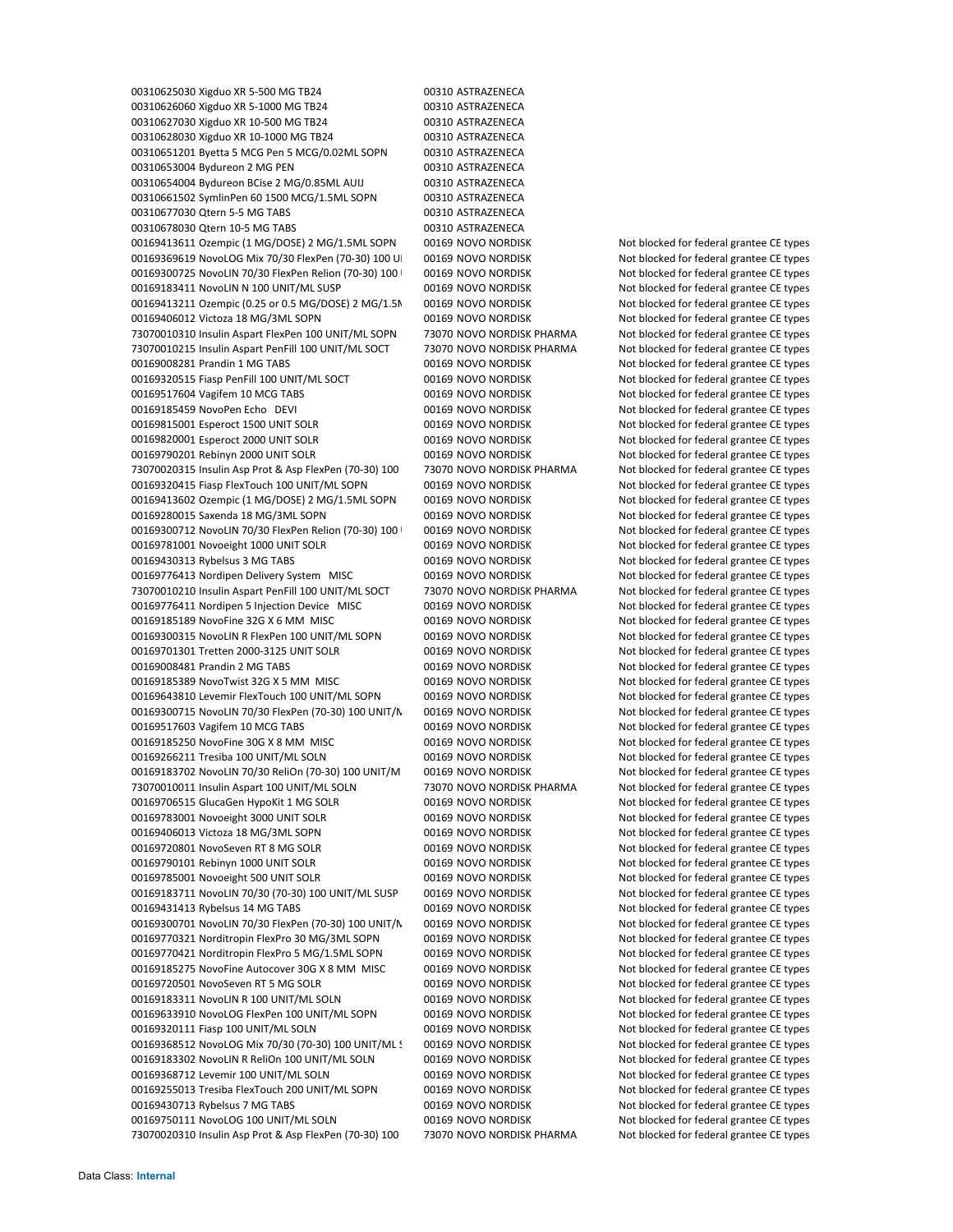00310625030 Xigduo XR 5‐500 MG TB24 00310 ASTRAZENECA 00310626060 Xigduo XR 5-1000 MG TB24 00310 ASTRAZENECA 00310627030 Xigduo XR 10-500 MG TB24 00310 ASTRAZENECA 00310628030 Xigduo XR 10‐1000 MG TB24 00310 ASTRAZENECA 00310651201 Byetta 5 MCG Pen 5 MCG/0.02ML SOPN 00310 ASTRAZENECA 00310653004 Bydureon 2 MG PEN 00310 ASTRAZENECA 00310654004 Bydureon BCise 2 MG/0.85ML AUIJ 00310 ASTRAZENECA 00310661502 SymlinPen 60 1500 MCG/1.5ML SOPN 00310 ASTRAZENECA 00310677030 Qtern 5-5 MG TABS 00310 ASTRAZENECA 00310678030 Qtern 10‐5 MG TABS 00310 ASTRAZENECA 00169413611 Ozempic (1 MG/DOSE) 2 MG/1.5ML SOPN 00169 NOVO NORDISK Not blocked for federal grantee CE types 00169369619 NovoLOG Mix 70/30 FlexPen (70-30) 100 U| 00169 NOVO NORDISK Not blocked for federal grantee CE types 00169300725 NovoLIN 70/30 FlexPen Relion (70-30) 100 00169 NOVO NORDISK Not blocked for federal grantee CE types 00169183411 NovoLIN N 100 UNIT/ML SUSP 00169 NOVO NORDISK Not blocked for federal grantee CE types 00169413211 Ozempic (0.25 or 0.5 MG/DOSE) 2 MG/1.5M 00169 NOVO NORDISK Not blocked for federal grantee CE types 00169406012 Victoza 18 MG/3ML SOPN 00169 NOVO NORDISK Not blocked for federal grantee CE types 73070010310 Insulin Aspart FlexPen 100 UNIT/ML SOPN 73070 NOVO NORDISK PHARMA Not blocked for federal grantee CE types 73070010215 Insulin Aspart PenFill 100 UNIT/ML SOCT 73070 NOVO NORDISK PHARMA Not blocked for federal grantee CE types 00169008281 Prandin 1 MG TABS 00169 NOVO NORDISK Not blocked for federal grantee CE types 00169320515 Fiasp PenFill 100 UNIT/ML SOCT 00169 NOVO NORDISK Not blocked for federal grantee CE types 00169517604 Vagifem 10 MCG TABS 00169 NOVO NORDISK Not blocked for federal grantee CE types 00169185459 NovoPen Echo DEVI 00169 NOVO NORDISK Not blocked for federal grantee CE types 00169815001 Esperoct 1500 UNIT SOLR 00169 NOVO NORDISK Not blocked for federal grantee CE types 00169820001 Esperoct 2000 UNIT SOLR 00169 NOVO NORDISK Not blocked for federal grantee CE types 00169790201 Rebinyn 2000 UNIT SOLR 00169 NOVO NORDISK Not blocked for federal grantee CE types 73070020315 Insulin Asp Prot & Asp FlexPen (70‐30) 100 73070 NOVO NORDISK PHARMA Not blocked for federal grantee CE types 00169320415 Fiasp FlexTouch 100 UNIT/ML SOPN 00169 NOVO NORDISK Not blocked for federal grantee CE types 00169413602 Ozempic (1 MG/DOSE) 2 MG/1.5ML SOPN 00169 NOVO NORDISK Not blocked for federal grantee CE types 00169280015 Saxenda 18 MG/3ML SOPN 00169 NOVO NORDISK Not blocked for federal grantee CE types 00169300712 NovoLIN 70/30 FlexPen Relion (70-30) 100 00169 NOVO NORDISK Not blocked for federal grantee CE types 00169781001 Novoeight 1000 UNIT SOLR 00169 NOVO NORDISK Not blocked for federal grantee CE types 00169430313 Rybelsus 3 MG TABS 00169 NOVO NORDISK Not blocked for federal grantee CE types 00169776413 Nordipen Delivery System MISC 00169 NOVO NORDISK Not blocked for federal grantee CE types 73070010210 Insulin Aspart PenFill 100 UNIT/ML SOCT 73070 NOVO NORDISK PHARMA Not blocked for federal grantee CE types 00169776411 Nordipen 5 Injection Device MISC 00169 NOVO NORDISK Not blocked for federal grantee CE types 00169185189 NovoFine 32G X 6 MM MISC 00169 NOVO NORDISK Not blocked for federal grantee CE types 00169300315 NovoLIN R FlexPen 100 UNIT/ML SOPN 00169 NOVO NORDISK Not blocked for federal grantee CE types 00169701301 Tretten 2000-3125 UNIT SOLR 00169 NOVO NORDISK Not blocked for federal grantee CE types 00169008481 Prandin 2 MG TABS 00169 NOVO NORDISK Not blocked for federal grantee CE types 00169185389 NovoTwist 32G X 5 MM MISC 00169 NOVO NORDISK Not blocked for federal grantee CE types 00169643810 Levemir FlexTouch 100 UNIT/ML SOPN 00169 NOVO NORDISK Not blocked for federal grantee CE types 00169300715 NovoLIN 70/30 FlexPen (70-30) 100 UNIT/N 00169 NOVO NORDISK Not blocked for federal grantee CE types 00169517603 Vagifem 10 MCG TABS 00169 NOVO NORDISK Not blocked for federal grantee CE types 00169185250 NovoFine 30G X 8 MM MISC 00169 NOVO NORDISK Not blocked for federal grantee CE types 00169266211 Tresiba 100 UNIT/ML SOLN 00169 NOVO NORDISK Not blocked for federal grantee CE types 00169183702 NovoLIN 70/30 ReliOn (70‐30) 100 UNIT/M 00169 NOVO NORDISK Not blocked for federal grantee CE types 73070010011 Insulin Aspart 100 UNIT/ML SOLN 73070 NOVO NORDISK PHARMA Not blocked for federal grantee CE types 00169706515 GlucaGen HypoKit 1 MG SOLR 00169 NOVO NORDISK Not blocked for federal grantee CE types 00169783001 Novoeight 3000 UNIT SOLR 00169 NOVO NORDISK Not blocked for federal grantee CE types 00169406013 Victoza 18 MG/3ML SOPN 00169 NOVO NORDISK Not blocked for federal grantee CE types 00169720801 NovoSeven RT 8 MG SOLR 00169 NOVO NORDISK Not blocked for federal grantee CE types 00169790101 Rebinyn 1000 UNIT SOLR 00169 NOVO NORDISK Not blocked for federal grantee CE types 00169785001 Novoeight 500 UNIT SOLR 00169 NOVO NORDISK Not blocked for federal grantee CE types 00169183711 NovoLIN 70/30 (70-30) 100 UNIT/ML SUSP 00169 NOVO NORDISK Not blocked for federal grantee CE types 00169431413 Rybelsus 14 MG TABS **00169 NOVO NORDISK** Not blocked for federal grantee CE types 00169300701 NovoLIN 70/30 FlexPen (70-30) 100 UNIT/N 00169 NOVO NORDISK Not blocked for federal grantee CE types 00169770321 Norditropin FlexPro 30 MG/3ML SOPN 00169 NOVO NORDISK Not blocked for federal grantee CE types 00169770421 Norditropin FlexPro 5 MG/1.5ML SOPN 00169 NOVO NORDISK Not blocked for federal grantee CE types 00169185275 NovoFine Autocover 30G X 8 MM MISC 00169 NOVO NORDISK Not blocked for federal grantee CE types 00169720501 NovoSeven RT 5 MG SOLR 00169 NOVO NORDISK Not blocked for federal grantee CE types 00169183311 NovoLIN R 100 UNIT/ML SOLN 00169 NOVO NORDISK Not blocked for federal grantee CE types 00169633910 NovoLOG FlexPen 100 UNIT/ML SOPN 00169 NOVO NORDISK Not blocked for federal grantee CE types 00169320111 Fiasp 100 UNIT/ML SOLN 00169 NOVO NORDISK Not blocked for federal grantee CE types 00169368512 NovoLOG Mix 70/30 (70-30) 100 UNIT/ML S 00169 NOVO NORDISK Not blocked for federal grantee CE types 00169183302 NovoLIN R ReliOn 100 UNIT/ML SOLN 00169 NOVO NORDISK Not blocked for federal grantee CE types 00169368712 Levemir 100 UNIT/ML SOLN 00169 NOVO NORDISK Not blocked for federal grantee CE types 00169255013 Tresiba FlexTouch 200 UNIT/ML SOPN 00169 NOVO NORDISK Not blocked for federal grantee CE types 00169430713 Rybelsus 7 MG TABS 00169 NOVO NORDISK Not blocked for federal grantee CE types 00169750111 NovoLOG 100 UNIT/ML SOLN 00169 NOVO NORDISK Not blocked for federal grantee CE types 73070020310 Insulin Asp Prot & Asp FlexPen (70‐30) 100 73070 NOVO NORDISK PHARMA Not blocked for federal grantee CE types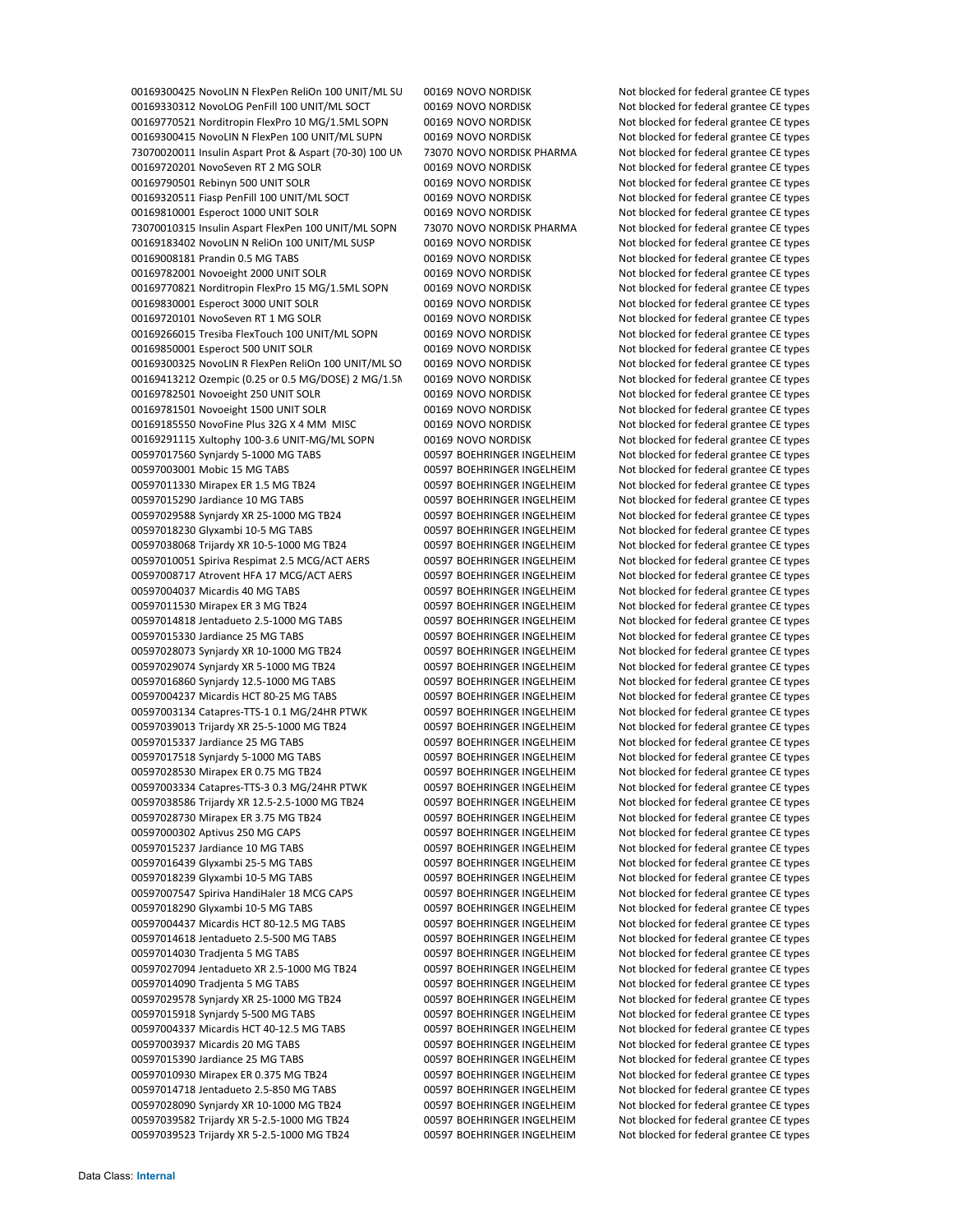00169300425 NovoLIN N FlexPen ReliOn 100 UNIT/ML SU 00169 NOVO NORDISK Not blocked for federal grantee CE types 00169330312 NovoLOG PenFill 100 UNIT/ML SOCT 00169 NOVO NORDISK Not blocked for federal grantee CE types 00169770521 Norditropin FlexPro 10 MG/1.5ML SOPN 00169 NOVO NORDISK Not blocked for federal grantee CE types 00169300415 NovoLIN N FlexPen 100 UNIT/ML SUPN 00169 NOVO NORDISK Not blocked for federal grantee CE types Insulin Aspart Prot & Aspart (70‐30) 100 UN 73070 NOVO NORDISK PHARMA Not blocked for federal grantee CE types 00169720201 NovoSeven RT 2 MG SOLR 00169 NOVO NORDISK Not blocked for federal grantee CE types 00169790501 Rebinyn 500 UNIT SOLR **00169 NOVO NORDISK** Not blocked for federal grantee CE types 00169320511 Fiasp PenFill 100 UNIT/ML SOCT 00169 NOVO NORDISK Not blocked for federal grantee CE types 00169810001 Esperoct 1000 UNIT SOLR 00169 NOVO NORDISK Not blocked for federal grantee CE types Insulin Aspart FlexPen 100 UNIT/ML SOPN 73070 NOVO NORDISK PHARMA Not blocked for federal grantee CE types 00169183402 NovoLIN N ReliOn 100 UNIT/ML SUSP 00169 NOVO NORDISK Not blocked for federal grantee CE types Prandin 0.5 MG TABS 00169 NOVO NORDISK Not blocked for federal grantee CE types 00169782001 Novoeight 2000 UNIT SOLR 00169 NOVO NORDISK Not blocked for federal grantee CE types 00169770821 Norditropin FlexPro 15 MG/1.5ML SOPN 00169 NOVO NORDISK Not blocked for federal grantee CE types 00169830001 Esperoct 3000 UNIT SOLR 00169 NOVO NORDISK Not blocked for federal grantee CE types 00169720101 NovoSeven RT 1 MG SOLR 00169 NOVO NORDISK Not blocked for federal grantee CE types 00169266015 Tresiba FlexTouch 100 UNIT/ML SOPN 00169 NOVO NORDISK Not blocked for federal grantee CE types 00169850001 Esperoct 500 UNIT SOLR 00169 NOVO NORDISK Not blocked for federal grantee CE types 00169300325 NovoLIN R FlexPen ReliOn 100 UNIT/ML SO 00169 NOVO NORDISK Not blocked for federal grantee CE types 00169413212 Ozempic (0.25 or 0.5 MG/DOSE) 2 MG/1.5M 00169 NOVO NORDISK Not blocked for federal grantee CE types 00169782501 Novoeight 250 UNIT SOLR 00169 NOVO NORDISK Not blocked for federal grantee CE types 00169781501 Novoeight 1500 UNIT SOLR 00169 NOVO NORDISK Not blocked for federal grantee CE types 00169185550 NovoFine Plus 32G X 4 MM MISC 00169 NOVO NORDISK Not blocked for federal grantee CE types 00169291115 Xultophy 100-3.6 UNIT-MG/ML SOPN 00169 NOVO NORDISK Not blocked for federal grantee CE types Synjardy 5‐1000 MG TABS 00597 BOEHRINGER INGELHEIM Not blocked for federal grantee CE types Mobic 15 MG TABS 00597 BOEHRINGER INGELHEIM Not blocked for federal grantee CE types Mirapex ER 1.5 MG TB24 00597 BOEHRINGER INGELHEIM Not blocked for federal grantee CE types Jardiance 10 MG TABS 00597 BOEHRINGER INGELHEIM Not blocked for federal grantee CE types 00597029588 Synjardy XR 25-1000 MG TB24 00597 BOEHRINGER INGELHEIM Not blocked for federal grantee CE types Glyxambi 10‐5 MG TABS 00597 BOEHRINGER INGELHEIM Not blocked for federal grantee CE types Trijardy XR 10‐5‐1000 MG TB24 00597 BOEHRINGER INGELHEIM Not blocked for federal grantee CE types 00597010051 Spiriva Respimat 2.5 MCG/ACT AERS 00597 BOEHRINGER INGELHEIM Not blocked for federal grantee CE types 00597008717 Atrovent HFA 17 MCG/ACT AERS 00597 BOEHRINGER INGELHEIM Not blocked for federal grantee CE types Micardis 40 MG TABS 00597 BOEHRINGER INGELHEIM Not blocked for federal grantee CE types Mirapex ER 3 MG TB24 00597 BOEHRINGER INGELHEIM Not blocked for federal grantee CE types Jentadueto 2.5‐1000 MG TABS 00597 BOEHRINGER INGELHEIM Not blocked for federal grantee CE types Jardiance 25 MG TABS 00597 BOEHRINGER INGELHEIM Not blocked for federal grantee CE types Synjardy XR 10‐1000 MG TB24 00597 BOEHRINGER INGELHEIM Not blocked for federal grantee CE types Synjardy XR 5‐1000 MG TB24 00597 BOEHRINGER INGELHEIM Not blocked for federal grantee CE types Synjardy 12.5‐1000 MG TABS 00597 BOEHRINGER INGELHEIM Not blocked for federal grantee CE types Micardis HCT 80‐25 MG TABS 00597 BOEHRINGER INGELHEIM Not blocked for federal grantee CE types Catapres‐TTS‐1 0.1 MG/24HR PTWK 00597 BOEHRINGER INGELHEIM Not blocked for federal grantee CE types Trijardy XR 25‐5‐1000 MG TB24 00597 BOEHRINGER INGELHEIM Not blocked for federal grantee CE types Jardiance 25 MG TABS 00597 BOEHRINGER INGELHEIM Not blocked for federal grantee CE types Synjardy 5‐1000 MG TABS 00597 BOEHRINGER INGELHEIM Not blocked for federal grantee CE types Mirapex ER 0.75 MG TB24 00597 BOEHRINGER INGELHEIM Not blocked for federal grantee CE types Catapres‐TTS‐3 0.3 MG/24HR PTWK 00597 BOEHRINGER INGELHEIM Not blocked for federal grantee CE types Trijardy XR 12.5‐2.5‐1000 MG TB24 00597 BOEHRINGER INGELHEIM Not blocked for federal grantee CE types Mirapex ER 3.75 MG TB24 00597 BOEHRINGER INGELHEIM Not blocked for federal grantee CE types 00597000302 Aptivus 250 MG CAPS 00597 BOEHRINGER INGELHEIM Not blocked for federal grantee CE types Jardiance 10 MG TABS 00597 BOEHRINGER INGELHEIM Not blocked for federal grantee CE types Glyxambi 25‐5 MG TABS 00597 BOEHRINGER INGELHEIM Not blocked for federal grantee CE types Glyxambi 10‐5 MG TABS 00597 BOEHRINGER INGELHEIM Not blocked for federal grantee CE types Spiriva HandiHaler 18 MCG CAPS 00597 BOEHRINGER INGELHEIM Not blocked for federal grantee CE types Glyxambi 10‐5 MG TABS 00597 BOEHRINGER INGELHEIM Not blocked for federal grantee CE types Micardis HCT 80‐12.5 MG TABS 00597 BOEHRINGER INGELHEIM Not blocked for federal grantee CE types Jentadueto 2.5‐500 MG TABS 00597 BOEHRINGER INGELHEIM Not blocked for federal grantee CE types Tradjenta 5 MG TABS 00597 BOEHRINGER INGELHEIM Not blocked for federal grantee CE types Jentadueto XR 2.5‐1000 MG TB24 00597 BOEHRINGER INGELHEIM Not blocked for federal grantee CE types Tradjenta 5 MG TABS 00597 BOEHRINGER INGELHEIM Not blocked for federal grantee CE types Synjardy XR 25‐1000 MG TB24 00597 BOEHRINGER INGELHEIM Not blocked for federal grantee CE types Synjardy 5‐500 MG TABS 00597 BOEHRINGER INGELHEIM Not blocked for federal grantee CE types Micardis HCT 40‐12.5 MG TABS 00597 BOEHRINGER INGELHEIM Not blocked for federal grantee CE types Micardis 20 MG TABS 00597 BOEHRINGER INGELHEIM Not blocked for federal grantee CE types Jardiance 25 MG TABS 00597 BOEHRINGER INGELHEIM Not blocked for federal grantee CE types Mirapex ER 0.375 MG TB24 00597 BOEHRINGER INGELHEIM Not blocked for federal grantee CE types Jentadueto 2.5‐850 MG TABS 00597 BOEHRINGER INGELHEIM Not blocked for federal grantee CE types Synjardy XR 10‐1000 MG TB24 00597 BOEHRINGER INGELHEIM Not blocked for federal grantee CE types Trijardy XR 5‐2.5‐1000 MG TB24 00597 BOEHRINGER INGELHEIM Not blocked for federal grantee CE types Trijardy XR 5‐2.5‐1000 MG TB24 00597 BOEHRINGER INGELHEIM Not blocked for federal grantee CE types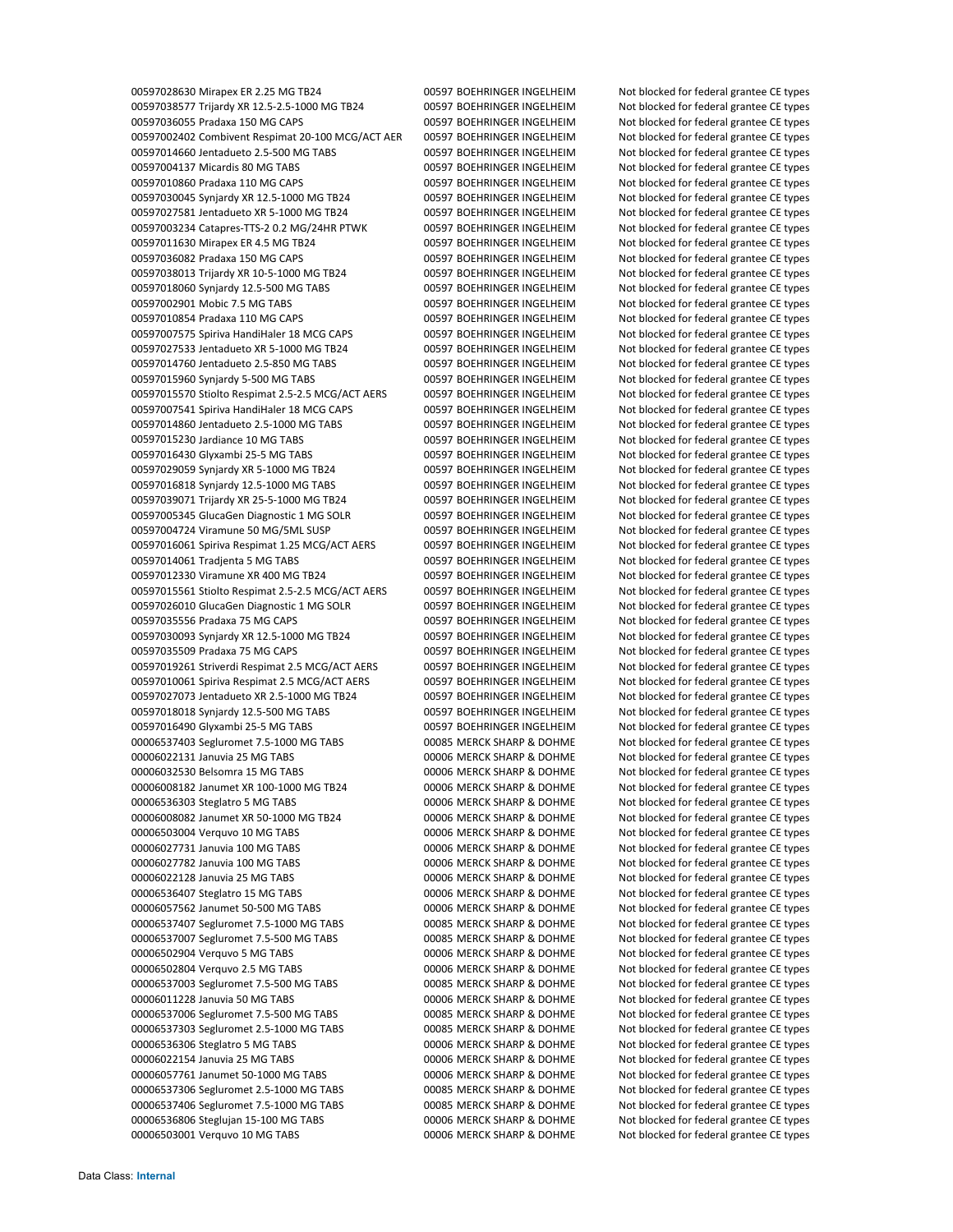Mirapex ER 2.25 MG TB24 00597 BOEHRINGER INGELHEIM Not blocked for federal grantee CE types Trijardy XR 12.5‐2.5‐1000 MG TB24 00597 BOEHRINGER INGELHEIM Not blocked for federal grantee CE types Pradaxa 150 MG CAPS 00597 BOEHRINGER INGELHEIM Not blocked for federal grantee CE types Combivent Respimat 20‐100 MCG/ACT AER 00597 BOEHRINGER INGELHEIM Not blocked for federal grantee CE types Jentadueto 2.5‐500 MG TABS 00597 BOEHRINGER INGELHEIM Not blocked for federal grantee CE types Micardis 80 MG TABS 00597 BOEHRINGER INGELHEIM Not blocked for federal grantee CE types 00597010860 Pradaxa 110 MG CAPS 00597 BOEHRINGER INGELHEIM Not blocked for federal grantee CE types Synjardy XR 12.5‐1000 MG TB24 00597 BOEHRINGER INGELHEIM Not blocked for federal grantee CE types Jentadueto XR 5‐1000 MG TB24 00597 BOEHRINGER INGELHEIM Not blocked for federal grantee CE types Catapres‐TTS‐2 0.2 MG/24HR PTWK 00597 BOEHRINGER INGELHEIM Not blocked for federal grantee CE types Mirapex ER 4.5 MG TB24 00597 BOEHRINGER INGELHEIM Not blocked for federal grantee CE types Pradaxa 150 MG CAPS 00597 BOEHRINGER INGELHEIM Not blocked for federal grantee CE types Trijardy XR 10‐5‐1000 MG TB24 00597 BOEHRINGER INGELHEIM Not blocked for federal grantee CE types Synjardy 12.5‐500 MG TABS 00597 BOEHRINGER INGELHEIM Not blocked for federal grantee CE types Mobic 7.5 MG TABS 00597 BOEHRINGER INGELHEIM Not blocked for federal grantee CE types 00597010854 Pradaxa 110 MG CAPS 00597 BOEHRINGER INGELHEIM Not blocked for federal grantee CE types 00597007575 Spiriva HandiHaler 18 MCG CAPS 00597 BOEHRINGER INGELHEIM Not blocked for federal grantee CE types Jentadueto XR 5‐1000 MG TB24 00597 BOEHRINGER INGELHEIM Not blocked for federal grantee CE types Jentadueto 2.5‐850 MG TABS 00597 BOEHRINGER INGELHEIM Not blocked for federal grantee CE types Synjardy 5‐500 MG TABS 00597 BOEHRINGER INGELHEIM Not blocked for federal grantee CE types Stiolto Respimat 2.5‐2.5 MCG/ACT AERS 00597 BOEHRINGER INGELHEIM Not blocked for federal grantee CE types 00597007541 Spiriva HandiHaler 18 MCG CAPS 00597 BOEHRINGER INGELHEIM Not blocked for federal grantee CE types Jentadueto 2.5‐1000 MG TABS 00597 BOEHRINGER INGELHEIM Not blocked for federal grantee CE types Jardiance 10 MG TABS 00597 BOEHRINGER INGELHEIM Not blocked for federal grantee CE types Glyxambi 25‐5 MG TABS 00597 BOEHRINGER INGELHEIM Not blocked for federal grantee CE types Synjardy XR 5‐1000 MG TB24 00597 BOEHRINGER INGELHEIM Not blocked for federal grantee CE types Synjardy 12.5‐1000 MG TABS 00597 BOEHRINGER INGELHEIM Not blocked for federal grantee CE types 00597039071 Trijardy XR 25-5-1000 MG TB24 00597 BOEHRINGER INGELHEIM Not blocked for federal grantee CE types GlucaGen Diagnostic 1 MG SOLR 00597 BOEHRINGER INGELHEIM Not blocked for federal grantee CE types Viramune 50 MG/5ML SUSP 00597 BOEHRINGER INGELHEIM Not blocked for federal grantee CE types Spiriva Respimat 1.25 MCG/ACT AERS 00597 BOEHRINGER INGELHEIM Not blocked for federal grantee CE types Tradjenta 5 MG TABS 00597 BOEHRINGER INGELHEIM Not blocked for federal grantee CE types 00597012330 Viramune XR 400 MG TB24 00597 BOEHRINGER INGELHEIM Not blocked for federal grantee CE types Stiolto Respimat 2.5‐2.5 MCG/ACT AERS 00597 BOEHRINGER INGELHEIM Not blocked for federal grantee CE types GlucaGen Diagnostic 1 MG SOLR 00597 BOEHRINGER INGELHEIM Not blocked for federal grantee CE types Pradaxa 75 MG CAPS 00597 BOEHRINGER INGELHEIM Not blocked for federal grantee CE types 00597030093 Synjardy XR 12.5-1000 MG TB24 00597 BOEHRINGER INGELHEIM Not blocked for federal grantee CE types Pradaxa 75 MG CAPS 00597 BOEHRINGER INGELHEIM Not blocked for federal grantee CE types Striverdi Respimat 2.5 MCG/ACT AERS 00597 BOEHRINGER INGELHEIM Not blocked for federal grantee CE types 00597010061 Spiriva Respimat 2.5 MCG/ACT AERS 00597 BOEHRINGER INGELHEIM Not blocked for federal grantee CE types Jentadueto XR 2.5‐1000 MG TB24 00597 BOEHRINGER INGELHEIM Not blocked for federal grantee CE types Synjardy 12.5‐500 MG TABS 00597 BOEHRINGER INGELHEIM Not blocked for federal grantee CE types Glyxambi 25‐5 MG TABS 00597 BOEHRINGER INGELHEIM Not blocked for federal grantee CE types Segluromet 7.5‐1000 MG TABS 00085 MERCK SHARP & DOHME Not blocked for federal grantee CE types Januvia 25 MG TABS 00006 MERCK SHARP & DOHME Not blocked for federal grantee CE types Belsomra 15 MG TABS 00006 MERCK SHARP & DOHME Not blocked for federal grantee CE types Janumet XR 100‐1000 MG TB24 00006 MERCK SHARP & DOHME Not blocked for federal grantee CE types Steglatro 5 MG TABS 00006 MERCK SHARP & DOHME Not blocked for federal grantee CE types Janumet XR 50‐1000 MG TB24 00006 MERCK SHARP & DOHME Not blocked for federal grantee CE types Verquvo 10 MG TABS 00006 MERCK SHARP & DOHME Not blocked for federal grantee CE types Januvia 100 MG TABS 00006 MERCK SHARP & DOHME Not blocked for federal grantee CE types Januvia 100 MG TABS 00006 MERCK SHARP & DOHME Not blocked for federal grantee CE types Januvia 25 MG TABS 00006 MERCK SHARP & DOHME Not blocked for federal grantee CE types Steglatro 15 MG TABS 00006 MERCK SHARP & DOHME Not blocked for federal grantee CE types Janumet 50‐500 MG TABS 00006 MERCK SHARP & DOHME Not blocked for federal grantee CE types Segluromet 7.5‐1000 MG TABS 00085 MERCK SHARP & DOHME Not blocked for federal grantee CE types Segluromet 7.5‐500 MG TABS 00085 MERCK SHARP & DOHME Not blocked for federal grantee CE types Verquvo 5 MG TABS 00006 MERCK SHARP & DOHME Not blocked for federal grantee CE types Verquvo 2.5 MG TABS 00006 MERCK SHARP & DOHME Not blocked for federal grantee CE types Segluromet 7.5‐500 MG TABS 00085 MERCK SHARP & DOHME Not blocked for federal grantee CE types Januvia 50 MG TABS 00006 MERCK SHARP & DOHME Not blocked for federal grantee CE types Segluromet 7.5‐500 MG TABS 00085 MERCK SHARP & DOHME Not blocked for federal grantee CE types Segluromet 2.5‐1000 MG TABS 00085 MERCK SHARP & DOHME Not blocked for federal grantee CE types Steglatro 5 MG TABS 00006 MERCK SHARP & DOHME Not blocked for federal grantee CE types Januvia 25 MG TABS 00006 MERCK SHARP & DOHME Not blocked for federal grantee CE types Janumet 50‐1000 MG TABS 00006 MERCK SHARP & DOHME Not blocked for federal grantee CE types Segluromet 2.5‐1000 MG TABS 00085 MERCK SHARP & DOHME Not blocked for federal grantee CE types Segluromet 7.5‐1000 MG TABS 00085 MERCK SHARP & DOHME Not blocked for federal grantee CE types Steglujan 15‐100 MG TABS 00006 MERCK SHARP & DOHME Not blocked for federal grantee CE types Verquvo 10 MG TABS 00006 MERCK SHARP & DOHME Not blocked for federal grantee CE types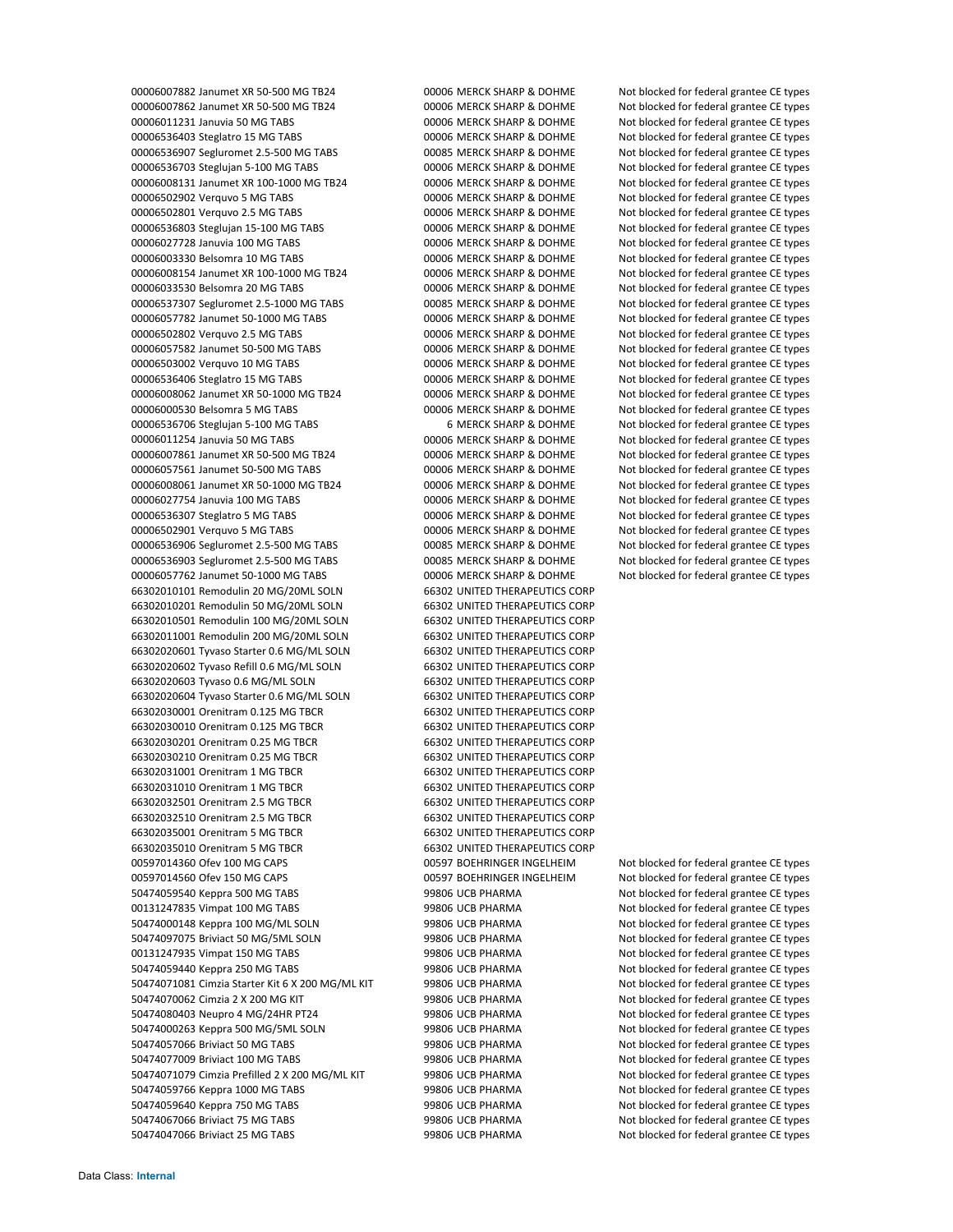Janumet XR 50‐500 MG TB24 00006 MERCK SHARP & DOHME Not blocked for federal grantee CE types 00006007862 Janumet XR 50-500 MG TB24 00006 MERCK SHARP & DOHME Not blocked for federal grantee CE types Januvia 50 MG TABS 00006 MERCK SHARP & DOHME Not blocked for federal grantee CE types Steglatro 15 MG TABS 00006 MERCK SHARP & DOHME Not blocked for federal grantee CE types Segluromet 2.5‐500 MG TABS 00085 MERCK SHARP & DOHME Not blocked for federal grantee CE types Steglujan 5‐100 MG TABS 00006 MERCK SHARP & DOHME Not blocked for federal grantee CE types 00006008131 Janumet XR 100-1000 MG TB24 00006 MERCK SHARP & DOHME Not blocked for federal grantee CE types Verquvo 5 MG TABS 00006 MERCK SHARP & DOHME Not blocked for federal grantee CE types Verquvo 2.5 MG TABS 00006 MERCK SHARP & DOHME Not blocked for federal grantee CE types Steglujan 15‐100 MG TABS 00006 MERCK SHARP & DOHME Not blocked for federal grantee CE types Januvia 100 MG TABS 00006 MERCK SHARP & DOHME Not blocked for federal grantee CE types Belsomra 10 MG TABS 00006 MERCK SHARP & DOHME Not blocked for federal grantee CE types Janumet XR 100‐1000 MG TB24 00006 MERCK SHARP & DOHME Not blocked for federal grantee CE types Belsomra 20 MG TABS 00006 MERCK SHARP & DOHME Not blocked for federal grantee CE types 00006537307 Segluromet 2.5-1000 MG TABS 00085 MERCK SHARP & DOHME Not blocked for federal grantee CE types 00006057782 Janumet 50-1000 MG TABS 00006 MERCK SHARP & DOHME Not blocked for federal grantee CE types Verquvo 2.5 MG TABS 00006 MERCK SHARP & DOHME Not blocked for federal grantee CE types Janumet 50‐500 MG TABS 00006 MERCK SHARP & DOHME Not blocked for federal grantee CE types Verquvo 10 MG TABS 00006 MERCK SHARP & DOHME Not blocked for federal grantee CE types Steglatro 15 MG TABS 00006 MERCK SHARP & DOHME Not blocked for federal grantee CE types 00006008062 Janumet XR 50-1000 MG TB24 00006 MERCK SHARP & DOHME Not blocked for federal grantee CE types Belsomra 5 MG TABS 00006 MERCK SHARP & DOHME Not blocked for federal grantee CE types 00006536706 Stegluian 5-100 MG TABS 6 MERCK SHARP & DOHME Not blocked for federal grantee CE types 00006011254 Januvia 50 MG TABS **000000 MERCK SHARP & DOHME** Not blocked for federal grantee CE types Janumet XR 50‐500 MG TB24 00006 MERCK SHARP & DOHME Not blocked for federal grantee CE types Janumet 50‐500 MG TABS 00006 MERCK SHARP & DOHME Not blocked for federal grantee CE types 00006008061 Janumet XR 50-1000 MG TB24 00006 MERCK SHARP & DOHME Not blocked for federal grantee CE types 00006027754 Januvia 100 MG TABS **000006 MERCK SHARP & DOHME** Not blocked for federal grantee CE types Steglatro 5 MG TABS 00006 MERCK SHARP & DOHME Not blocked for federal grantee CE types Verquvo 5 MG TABS 00006 MERCK SHARP & DOHME Not blocked for federal grantee CE types Segluromet 2.5‐500 MG TABS 00085 MERCK SHARP & DOHME Not blocked for federal grantee CE types Segluromet 2.5‐500 MG TABS 00085 MERCK SHARP & DOHME Not blocked for federal grantee CE types Janumet 50‐1000 MG TABS 00006 MERCK SHARP & DOHME Not blocked for federal grantee CE types Remodulin 20 MG/20ML SOLN 66302 UNITED THERAPEUTICS CORP Remodulin 50 MG/20ML SOLN 66302 UNITED THERAPEUTICS CORP Remodulin 100 MG/20ML SOLN 66302 UNITED THERAPEUTICS CORP Remodulin 200 MG/20ML SOLN 66302 UNITED THERAPEUTICS CORP Tyvaso Starter 0.6 MG/ML SOLN 66302 UNITED THERAPEUTICS CORP Tyvaso Refill 0.6 MG/ML SOLN 66302 UNITED THERAPEUTICS CORP Tyvaso 0.6 MG/ML SOLN 66302 UNITED THERAPEUTICS CORP Tyvaso Starter 0.6 MG/ML SOLN 66302 UNITED THERAPEUTICS CORP Orenitram 0.125 MG TBCR 66302 UNITED THERAPEUTICS CORP Orenitram 0.125 MG TBCR 66302 UNITED THERAPEUTICS CORP Orenitram 0.25 MG TBCR 66302 UNITED THERAPEUTICS CORP Orenitram 0.25 MG TBCR 66302 UNITED THERAPEUTICS CORP Orenitram 1 MG TBCR 66302 UNITED THERAPEUTICS CORP Orenitram 1 MG TBCR 66302 UNITED THERAPEUTICS CORP Orenitram 2.5 MG TBCR 66302 UNITED THERAPEUTICS CORP Orenitram 2.5 MG TBCR 66302 UNITED THERAPEUTICS CORP Orenitram 5 MG TBCR 66302 UNITED THERAPEUTICS CORP Orenitram 5 MG TBCR 66302 UNITED THERAPEUTICS CORP Ofev 100 MG CAPS 00597 BOEHRINGER INGELHEIM Not blocked for federal grantee CE types Ofev 150 MG CAPS 00597 BOEHRINGER INGELHEIM Not blocked for federal grantee CE types 50474059540 Keppra 500 MG TABS 600 MC 100 MB 99806 UCB PHARMA Not blocked for federal grantee CE types 00131247835 Vimpat 100 MG TABS 600 MB TABS 99806 UCB PHARMA Not blocked for federal grantee CE types Keppra 100 MG/ML SOLN 99806 UCB PHARMA Not blocked for federal grantee CE types Briviact 50 MG/5ML SOLN 99806 UCB PHARMA Not blocked for federal grantee CE types Vimpat 150 MG TABS 99806 UCB PHARMA Not blocked for federal grantee CE types Keppra 250 MG TABS 99806 UCB PHARMA Not blocked for federal grantee CE types 50474071081 Cimzia Starter Kit 6 X 200 MG/ML KIT 99806 UCB PHARMA Not blocked for federal grantee CE types 50474070062 Cimzia 2 X 200 MG KIT 99806 UCB PHARMA Not blocked for federal grantee CE types 50474080403 Neupro 4 MG/24HR PT24 99806 UCB PHARMA Not blocked for federal grantee CE types 50474000263 Keppra 500 MG/5ML SOLN 99806 UCB PHARMA Not blocked for federal grantee CE types 50474057066 Briviact 50 MG TABS 6007 899806 99806 UCB PHARMA Not blocked for federal grantee CE types 50474077009 Briviact 100 MG TABS **99806 UCB PHARMA** Not blocked for federal grantee CE types 50474071079 Cimzia Prefilled 2 X 200 MG/ML KIT 99806 UCB PHARMA Not blocked for federal grantee CE types 50474059766 Keppra 1000 MG TABS 99806 UCB PHARMA Not blocked for federal grantee CE types Keppra 750 MG TABS 99806 UCB PHARMA Not blocked for federal grantee CE types Briviact 75 MG TABS 99806 UCB PHARMA Not blocked for federal grantee CE types 50474047066 Briviact 25 MG TABS 600 B 99806 UCB PHARMA Not blocked for federal grantee CE types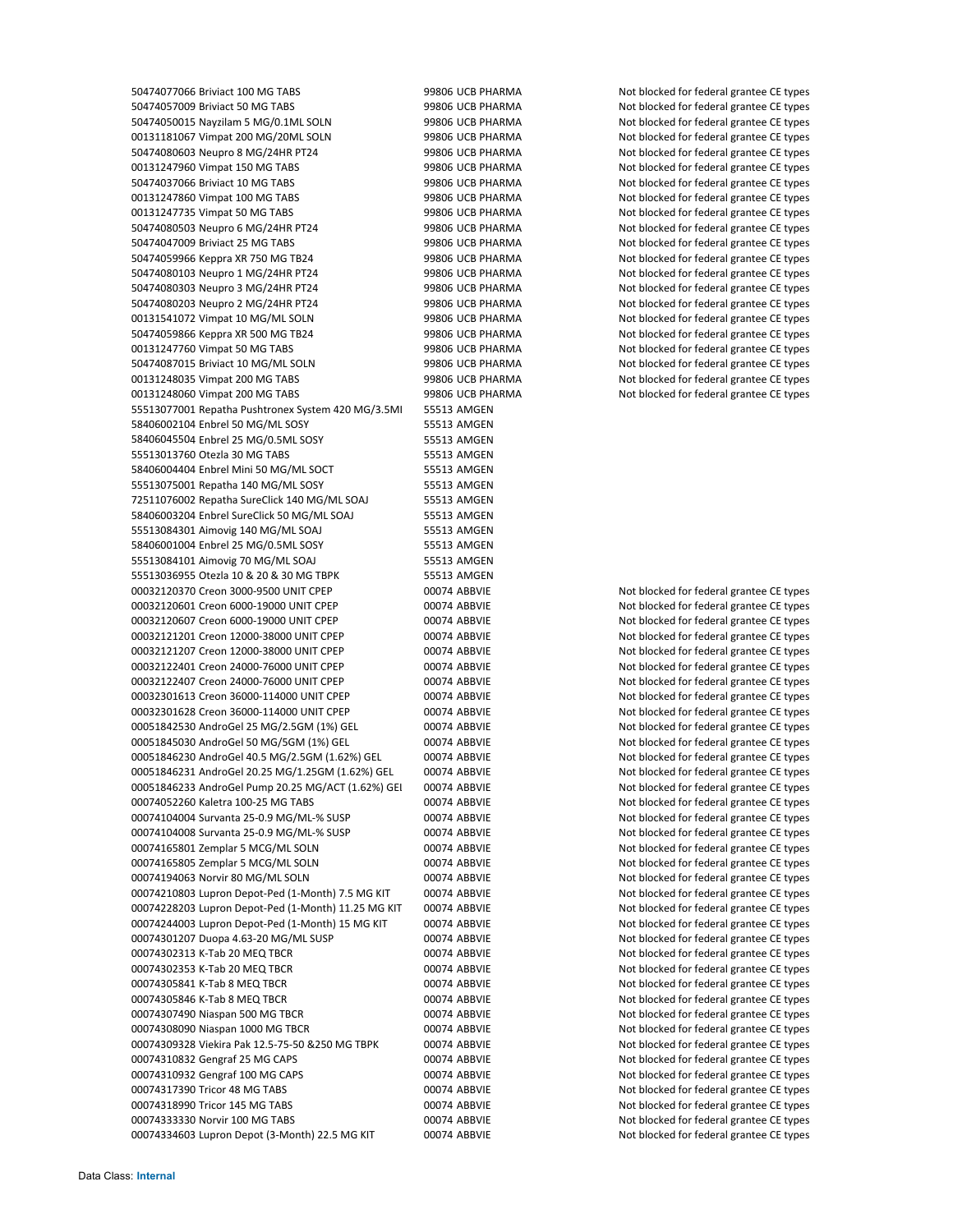50474077066 Briviact 100 MG TABS 60 Briviact 100 MG TABS 99806 UCB PHARMA Not blocked for federal grantee CE types 50474057009 Briviact 50 MG TABS 60000 Briviact 50 MG TABS 99806 UCB PHARMA Not blocked for federal grantee CE types 50474050015 Nayzilam 5 MG/0.1ML SOLN 99806 UCB PHARMA Not blocked for federal grantee CE types 00131181067 Vimpat 200 MG/20ML SOLN 99806 UCB PHARMA Not blocked for federal grantee CE types 50474080603 Neupro 8 MG/24HR PT24 99806 UCB PHARMA Not blocked for federal grantee CE types 00131247960 Vimpat 150 MG TABS **99806 UCB PHARMA** Not blocked for federal grantee CE types 50474037066 Briviact 10 MG TABS 600 B 2006 99806 UCB PHARMA Not blocked for federal grantee CE types 00131247860 Vimpat 100 MG TABS **99806 UCB PHARMA** Not blocked for federal grantee CE types 00131247735 Vimpat 50 MG TABS 60 MG TABS 99806 UCB PHARMA Not blocked for federal grantee CE types 50474080503 Neupro 6 MG/24HR PT24 99806 UCB PHARMA Not blocked for federal grantee CE types 50474047009 Briviact 25 MG TABS 600 B 99806 UCB PHARMA Not blocked for federal grantee CE types 50474059966 Keppra XR 750 MG TB24 99806 UCB PHARMA Not blocked for federal grantee CE types 50474080103 Neupro 1 MG/24HR PT24 99806 UCB PHARMA Not blocked for federal grantee CE types 50474080303 Neupro 3 MG/24HR PT24 99806 UCB PHARMA Not blocked for federal grantee CE types 50474080203 Neupro 2 MG/24HR PT24 99806 UCB PHARMA Not blocked for federal grantee CE types 00131541072 Vimpat 10 MG/ML SOLN 99806 UCB PHARMA Not blocked for federal grantee CE types 50474059866 Keppra XR 500 MG TB24 99806 UCB PHARMA Not blocked for federal grantee CE types 00131247760 Vimpat 50 MG TABS **99806 UCB PHARMA** Not blocked for federal grantee CE types 50474087015 Briviact 10 MG/ML SOLN 99806 UCB PHARMA Not blocked for federal grantee CE types 00131248035 Vimpat 200 MG TABS 99806 UCB PHARMA Not blocked for federal grantee CE types 00131248060 Vimpat 200 MG TABS **99806 UCB PHARMA** Not blocked for federal grantee CE types 55513077001 Repatha Pushtronex System 420 MG/3.5ML 55513 AMGEN 58406002104 Enbrel 50 MG/ML SOSY 55513 AMGEN 58406045504 Enbrel 25 MG/0.5ML SOSY 55513 AMGEN 55513013760 Otezla 30 MG TABS 55513 AMGEN 58406004404 Enbrel Mini 50 MG/ML SOCT 55513 AMGEN 55513075001 Repatha 140 MG/ML SOSY 55513 AMGEN 72511076002 Repatha SureClick 140 MG/ML SOAJ 55513 AMGEN 58406003204 Enbrel SureClick 50 MG/ML SOAJ 55513 AMGEN 55513084301 Aimovig 140 MG/ML SOAJ 55513 AMGEN 58406001004 Enbrel 25 MG/0.5ML SOSY 55513 AMGEN 55513084101 Aimovig 70 MG/ML SOAJ 55513 AMGEN 55513036955 Otezla 10 & 20 & 30 MG TBPK 55513 AMGEN 00032120370 Creon 3000-9500 UNIT CPEP 00074 ABBVIE Not blocked for federal grantee CE types 00032120601 Creon 6000-19000 UNIT CPEP 00074 ABBVIE Not blocked for federal grantee CE types 00032120607 Creon 6000-19000 UNIT CPEP 00074 ABBVIE Not blocked for federal grantee CE types 00032121201 Creon 12000-38000 UNIT CPEP 00074 ABBVIE Not blocked for federal grantee CE types 00032121207 Creon 12000-38000 UNIT CPEP 00074 ABBVIE Not blocked for federal grantee CE types 00032122401 Creon 24000-76000 UNIT CPEP 00074 ABBVIE Not blocked for federal grantee CE types 00032122407 Creon 24000-76000 UNIT CPEP 00074 ABBVIE Not blocked for federal grantee CE types 00032301613 Creon 36000-114000 UNIT CPEP 00074 ABBVIE Not blocked for federal grantee CE types 00032301628 Creon 36000-114000 UNIT CPEP 00074 ABBVIE Not blocked for federal grantee CE types 00051842530 AndroGel 25 MG/2.5GM (1%) GEL 00074 ABBVIE Not blocked for federal grantee CE types 00051845030 AndroGel 50 MG/5GM (1%) GEL 00074 ABBVIE Not blocked for federal grantee CE types 00051846230 AndroGel 40.5 MG/2.5GM (1.62%) GEL 00074 ABBVIE Not blocked for federal grantee CE types 00051846231 AndroGel 20.25 MG/1.25GM (1.62%) GEL 00074 ABBVIE Not blocked for federal grantee CE types 00051846233 AndroGel Pump 20.25 MG/ACT (1.62%) GEI 00074 ABBVIE Not blocked for federal grantee CE types 00074052260 Kaletra 100‐25 MG TABS 00074 ABBVIE Not blocked for federal grantee CE types 00074104004 Survanta 25-0.9 MG/ML-% SUSP 00074 ABBVIE Not blocked for federal grantee CE types 00074104008 Survanta 25-0.9 MG/ML-% SUSP 00074 ABBVIE Not blocked for federal grantee CE types 00074165801 Zemplar 5 MCG/ML SOLN 00074 ABBVIE Not blocked for federal grantee CE types 00074165805 Zemplar 5 MCG/ML SOLN 00074 ABBVIE Not blocked for federal grantee CE types 00074194063 Norvir 80 MG/ML SOLN 00074 ABBVIE Not blocked for federal grantee CE types 00074210803 Lupron Depot-Ped (1-Month) 7.5 MG KIT 00074 ABBVIE Not blocked for federal grantee CE types 00074228203 Lupron Depot-Ped (1-Month) 11.25 MG KIT 00074 ABBVIE Not blocked for federal grantee CE types 00074244003 Lupron Depot-Ped (1-Month) 15 MG KIT 00074 ABBVIE Not blocked for federal grantee CE types 00074301207 Duopa 4.63-20 MG/ML SUSP 00074 ABBVIE Not blocked for federal grantee CE types 00074302313 K-Tab 20 MEQ TBCR 00074 ABBVIE Not blocked for federal grantee CE types 00074302353 K-Tab 20 MEQ TBCR 00074 ABBVIE Not blocked for federal grantee CE types 00074305841 K-Tab 8 MEQ TBCR **CHAD BOOTH ABBVIE** Not blocked for federal grantee CE types 00074305846 K-Tab 8 MEQ TBCR **CHAD 8 MEQ TBCR** 00074 ABBVIE Not blocked for federal grantee CE types 00074307490 Niaspan 500 MG TBCR 00074 ABBVIE Not blocked for federal grantee CE types 00074308090 Niaspan 1000 MG TBCR 00074 ABBVIE Not blocked for federal grantee CE types 00074309328 Viekira Pak 12.5‐75‐50 &250 MG TBPK 00074 ABBVIE Not blocked for federal grantee CE types 00074310832 Gengraf 25 MG CAPS 00074 ABBVIE Not blocked for federal grantee CE types 00074310932 Gengraf 100 MG CAPS 00074 ABBVIE Not blocked for federal grantee CE types 00074317390 Tricor 48 MG TABS 00074 ABBVIE Not blocked for federal grantee CE types 00074318990 Tricor 145 MG TABS 00074 ABBVIE Not blocked for federal grantee CE types 00074333330 Norvir 100 MG TABS 00074 ABBVIE Not blocked for federal grantee CE types 00074334603 Lupron Depot (3-Month) 22.5 MG KIT 00074 ABBVIE Not blocked for federal grantee CE types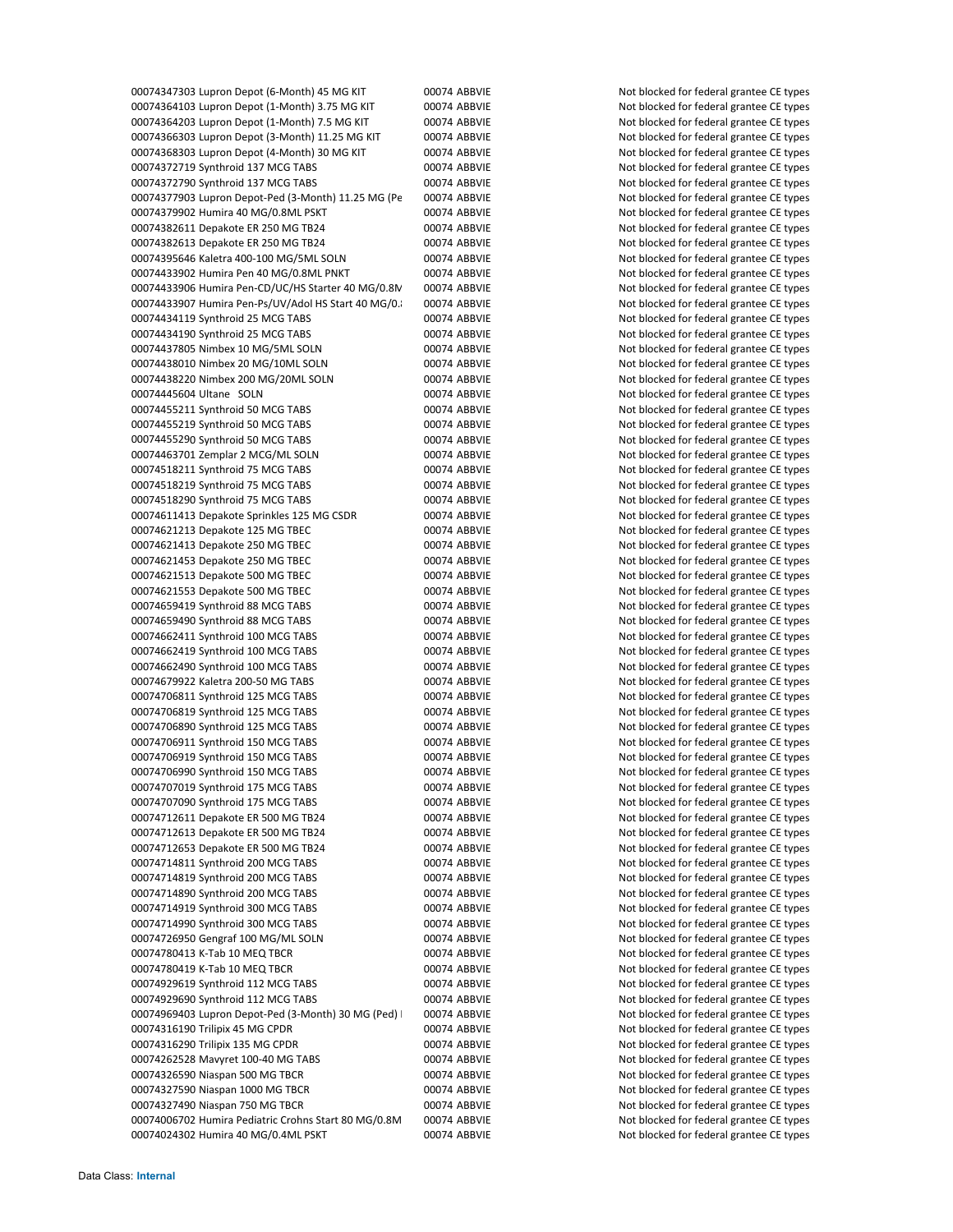00074347303 Lupron Depot (6-Month) 45 MG KIT 00074 ABBVIE Not blocked for federal grantee CE types 00074364103 Lupron Depot (1-Month) 3.75 MG KIT 00074 ABBVIE Not blocked for federal grantee CE types 00074364203 Lupron Depot (1-Month) 7.5 MG KIT 00074 ABBVIE Not blocked for federal grantee CE types 00074366303 Lupron Depot (3-Month) 11.25 MG KIT 00074 ABBVIE Not blocked for federal grantee CE types 00074368303 Lupron Depot (4-Month) 30 MG KIT 00074 ABBVIE Not blocked for federal grantee CE types 00074372719 Synthroid 137 MCG TABS 00074 ABBVIE Not blocked for federal grantee CE types 00074372790 Synthroid 137 MCG TABS 00074 ABBVIE Not blocked for federal grantee CE types 00074377903 Lupron Depot-Ped (3-Month) 11.25 MG (Pe 00074 ABBVIE Not blocked for federal grantee CE types 00074379902 Humira 40 MG/0.8ML PSKT 00074 ABBVIE Not blocked for federal grantee CE types 00074382611 Depakote ER 250 MG TB24 00074 ABBVIE Not blocked for federal grantee CE types 00074382613 Depakote ER 250 MG TB24 00074 ABBVIE Not blocked for federal grantee CE types 00074395646 Kaletra 400‐100 MG/5ML SOLN 00074 ABBVIE Not blocked for federal grantee CE types 00074433902 Humira Pen 40 MG/0.8ML PNKT 00074 ABBVIE Not blocked for federal grantee CE types 00074433906 Humira Pen-CD/UC/HS Starter 40 MG/0.8N 00074 ABBVIE Not blocked for federal grantee CE types 00074433907 Humira Pen-Ps/UV/Adol HS Start 40 MG/0.8 00074 ABBVIE Not blocked for federal grantee CE types 00074434119 Synthroid 25 MCG TABS 00074 ABBVIE Not blocked for federal grantee CE types 00074434190 Synthroid 25 MCG TABS 00074 ABBVIE Not blocked for federal grantee CE types 00074437805 Nimbex 10 MG/5ML SOLN 00074 ABBVIE Not blocked for federal grantee CE types 00074438010 Nimbex 20 MG/10ML SOLN 00074 ABBVIE Not blocked for federal grantee CE types 00074438220 Nimbex 200 MG/20ML SOLN 00074 ABBVIE Not blocked for federal grantee CE types 00074445604 Ultane SOLN 00074 ABBVIE Not blocked for federal grantee CE types 00074455211 Synthroid 50 MCG TABS 00074 ABBVIE Not blocked for federal grantee CE types 00074455219 Synthroid 50 MCG TABS 00074 ABBVIE Not blocked for federal grantee CE types 00074455290 Synthroid 50 MCG TABS 00074 ABBVIE Not blocked for federal grantee CE types 00074463701 Zemplar 2 MCG/ML SOLN 00074 ABBVIE Not blocked for federal grantee CE types 00074518211 Synthroid 75 MCG TABS 00074 ABBVIE Not blocked for federal grantee CE types 00074518219 Synthroid 75 MCG TABS 00074 ABBVIE Not blocked for federal grantee CE types 00074518290 Synthroid 75 MCG TABS 00074 ABBVIE Not blocked for federal grantee CE types 00074611413 Depakote Sprinkles 125 MG CSDR 00074 ABBVIE Not blocked for federal grantee CE types 00074621213 Depakote 125 MG TBEC 00074 ABBVIE Not blocked for federal grantee CE types 00074621413 Depakote 250 MG TBEC 00074 ABBVIE Not blocked for federal grantee CE types 00074621453 Depakote 250 MG TBEC 00074 ABBVIE Not blocked for federal grantee CE types 00074621513 Depakote 500 MG TBEC 00074 ABBVIE Not blocked for federal grantee CE types 00074621553 Depakote 500 MG TBEC 00074 ABBVIE Not blocked for federal grantee CE types 00074659419 Synthroid 88 MCG TABS 00074 ABBVIE Not blocked for federal grantee CE types 00074659490 Synthroid 88 MCG TABS 00074 ABBVIE Not blocked for federal grantee CE types 00074662411 Synthroid 100 MCG TABS 00074 ABBVIE Not blocked for federal grantee CE types 00074662419 Synthroid 100 MCG TABS 00074 ABBVIE Not blocked for federal grantee CE types 00074662490 Synthroid 100 MCG TABS 00074 ABBVIE Not blocked for federal grantee CE types 00074679922 Kaletra 200-50 MG TABS 00074 ABBVIE Not blocked for federal grantee CE types 00074706811 Synthroid 125 MCG TABS 00074 ABBVIE Not blocked for federal grantee CE types 00074706819 Synthroid 125 MCG TABS 00074 ABBVIE Not blocked for federal grantee CE types 00074706890 Synthroid 125 MCG TABS 00074 ABBVIE Not blocked for federal grantee CE types 00074706911 Synthroid 150 MCG TABS 00074 ABBVIE Not blocked for federal grantee CE types 00074706919 Synthroid 150 MCG TABS 00074 ABBVIE Not blocked for federal grantee CE types 00074706990 Synthroid 150 MCG TABS 00074 ABBVIE Not blocked for federal grantee CE types 00074707019 Synthroid 175 MCG TABS 00074 ABBVIE Not blocked for federal grantee CE types 00074707090 Synthroid 175 MCG TABS 00074 ABBVIE Not blocked for federal grantee CE types 00074712611 Depakote ER 500 MG TB24 00074 ABBVIE Not blocked for federal grantee CE types 00074712613 Depakote ER 500 MG TB24 00074 ABBVIE Not blocked for federal grantee CE types 00074712653 Depakote ER 500 MG TB24 00074 ABBVIE Not blocked for federal grantee CE types 00074714811 Synthroid 200 MCG TABS 00074 ABBVIE Not blocked for federal grantee CE types 00074714819 Synthroid 200 MCG TABS 00074 ABBVIE Not blocked for federal grantee CE types 00074714890 Synthroid 200 MCG TABS 00074 ABBVIE Not blocked for federal grantee CE types 00074714919 Synthroid 300 MCG TABS 00074 ABBVIE Not blocked for federal grantee CE types 00074714990 Synthroid 300 MCG TABS 00074 ABBVIE Not blocked for federal grantee CE types 00074726950 Gengraf 100 MG/ML SOLN 00074 ABBVIE Not blocked for federal grantee CE types 00074780413 K-Tab 10 MEQ TBCR **CHAD 100074 ABBVIE** Not blocked for federal grantee CE types 00074780419 K-Tab 10 MEQ TBCR 60074 ABBVIE Not blocked for federal grantee CE types 00074929619 Synthroid 112 MCG TABS 00074 ABBVIE Not blocked for federal grantee CE types 00074929690 Synthroid 112 MCG TABS 00074 ABBVIE Not blocked for federal grantee CE types 00074969403 Lupron Depot-Ped (3-Month) 30 MG (Ped) 00074 ABBVIE Not blocked for federal grantee CE types 00074316190 Trilipix 45 MG CPDR 00074 ABBVIE Not blocked for federal grantee CE types 00074316290 Trilipix 135 MG CPDR 00074 ABBVIE Not blocked for federal grantee CE types 00074262528 Mavyret 100-40 MG TABS 00074 ABBVIE Not blocked for federal grantee CE types 00074326590 Niaspan 500 MG TBCR 00074 ABBVIE Not blocked for federal grantee CE types 00074327590 Niaspan 1000 MG TBCR 00074 ABBVIE Not blocked for federal grantee CE types 00074327490 Niaspan 750 MG TBCR 00074 ABBVIE Not blocked for federal grantee CE types 00074006702 Humira Pediatric Crohns Start 80 MG/0.8M 00074 ABBVIE Not blocked for federal grantee CE types 00074024302 Humira 40 MG/0.4ML PSKT 00074 ABBVIE Not blocked for federal grantee CE types